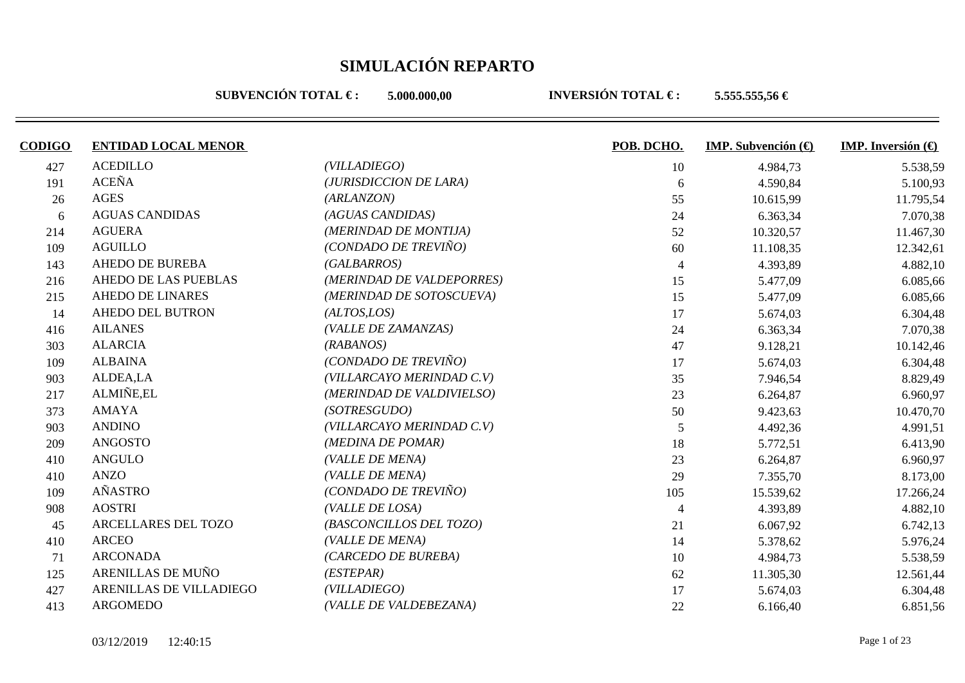**SUBVENCIÓN TOTAL €: 5.000.000.00** 

| <b>CODIGO</b> | <b>ENTIDAD LOCAL MENOR</b> |                           | POB. DCHO.     | <b>IMP.</b> Subvención $\left(\bigoplus$ | <b>IMP.</b> Inversión $\bigoplus$ |
|---------------|----------------------------|---------------------------|----------------|------------------------------------------|-----------------------------------|
| 427           | <b>ACEDILLO</b>            | (VILLADIEGO)              | 10             | 4.984,73                                 | 5.538,59                          |
| 191           | <b>ACEÑA</b>               | (JURISDICCION DE LARA)    | 6              | 4.590,84                                 | 5.100,93                          |
| 26            | <b>AGES</b>                | (ARLANZON)                | 55             | 10.615,99                                | 11.795,54                         |
| 6             | <b>AGUAS CANDIDAS</b>      | (AGUAS CANDIDAS)          | 24             | 6.363,34                                 | 7.070,38                          |
| 214           | <b>AGUERA</b>              | (MERINDAD DE MONTIJA)     | 52             | 10.320,57                                | 11.467,30                         |
| 109           | <b>AGUILLO</b>             | (CONDADO DE TREVIÑO)      | 60             | 11.108,35                                | 12.342,61                         |
| 143           | <b>AHEDO DE BUREBA</b>     | (GALBARROS)               | $\overline{4}$ | 4.393,89                                 | 4.882,10                          |
| 216           | AHEDO DE LAS PUEBLAS       | (MERINDAD DE VALDEPORRES) | 15             | 5.477,09                                 | 6.085,66                          |
| 215           | <b>AHEDO DE LINARES</b>    | (MERINDAD DE SOTOSCUEVA)  | 15             | 5.477,09                                 | 6.085,66                          |
| 14            | <b>AHEDO DEL BUTRON</b>    | (ALTOS, LOS)              | 17             | 5.674,03                                 | 6.304,48                          |
| 416           | <b>AILANES</b>             | (VALLE DE ZAMANZAS)       | 24             | 6.363,34                                 | 7.070,38                          |
| 303           | <b>ALARCIA</b>             | (RABANOS)                 | 47             | 9.128,21                                 | 10.142,46                         |
| 109           | <b>ALBAINA</b>             | (CONDADO DE TREVIÑO)      | 17             | 5.674,03                                 | 6.304,48                          |
| 903           | ALDEA,LA                   | (VILLARCAYO MERINDAD C.V) | 35             | 7.946,54                                 | 8.829,49                          |
| 217           | ALMIÑE,EL                  | (MERINDAD DE VALDIVIELSO) | 23             | 6.264,87                                 | 6.960,97                          |
| 373           | <b>AMAYA</b>               | (SOTRESGUDO)              | 50             | 9.423,63                                 | 10.470,70                         |
| 903           | <b>ANDINO</b>              | (VILLARCAYO MERINDAD C.V) | 5              | 4.492,36                                 | 4.991,51                          |
| 209           | <b>ANGOSTO</b>             | (MEDINA DE POMAR)         | 18             | 5.772,51                                 | 6.413,90                          |
| 410           | <b>ANGULO</b>              | (VALLE DE MENA)           | 23             | 6.264,87                                 | 6.960,97                          |
| 410           | <b>ANZO</b>                | (VALLE DE MENA)           | 29             | 7.355,70                                 | 8.173,00                          |
| 109           | AÑASTRO                    | (CONDADO DE TREVIÑO)      | 105            | 15.539,62                                | 17.266,24                         |
| 908           | <b>AOSTRI</b>              | (VALLE DE LOSA)           | $\Delta$       | 4.393,89                                 | 4.882,10                          |
| 45            | ARCELLARES DEL TOZO        | (BASCONCILLOS DEL TOZO)   | 21             | 6.067,92                                 | 6.742,13                          |
| 410           | <b>ARCEO</b>               | (VALLE DE MENA)           | 14             | 5.378,62                                 | 5.976,24                          |
| 71            | <b>ARCONADA</b>            | (CARCEDO DE BUREBA)       | 10             | 4.984,73                                 | 5.538,59                          |
| 125           | ARENILLAS DE MUÑO          | (ESTEPAR)                 | 62             | 11.305,30                                | 12.561,44                         |
| 427           | ARENILLAS DE VILLADIEGO    | (VILLADIEGO)              | 17             | 5.674,03                                 | 6.304,48                          |
| 413           | ARGOMEDO                   | (VALLE DE VALDEBEZANA)    | 22             | 6.166,40                                 | 6.851,56                          |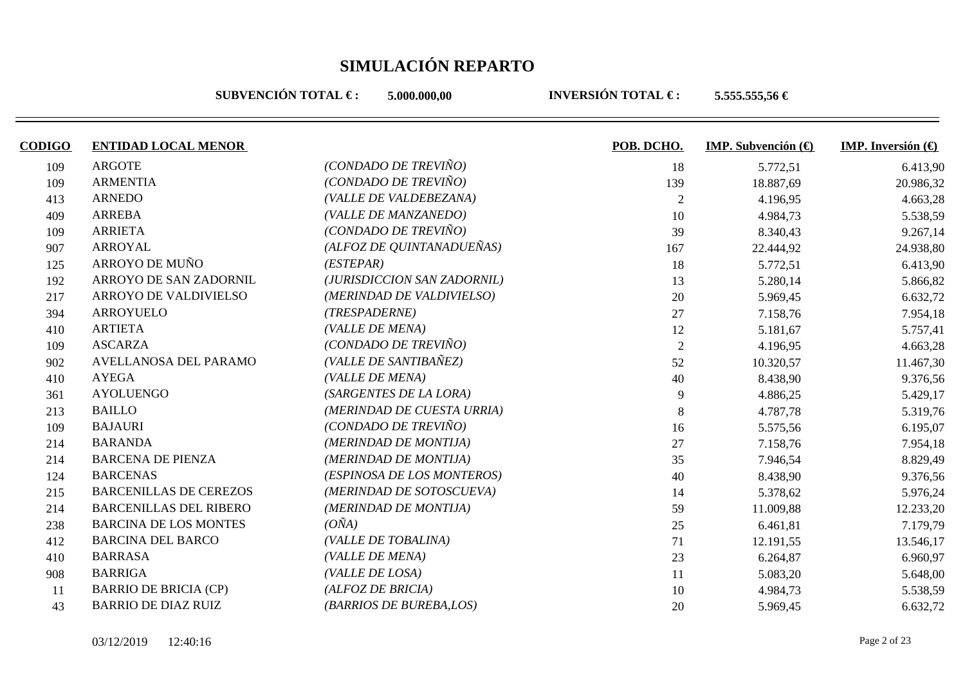**SUBVENCIÓN TOTAL €: 5.000.000.00** 

| <b>CODIGO</b> | <b>ENTIDAD LOCAL MENOR</b>    |                             | POB. DCHO.     | <b>IMP.</b> Subvención $(\theta)$ | <b>IMP.</b> Inversión $\left(\bigoplus$ |
|---------------|-------------------------------|-----------------------------|----------------|-----------------------------------|-----------------------------------------|
| 109           | <b>ARGOTE</b>                 | (CONDADO DE TREVIÑO)        | 18             | 5.772,51                          | 6.413,90                                |
| 109           | <b>ARMENTIA</b>               | (CONDADO DE TREVIÑO)        | 139            | 18.887,69                         | 20.986,32                               |
| 413           | <b>ARNEDO</b>                 | (VALLE DE VALDEBEZANA)      | $\overline{2}$ | 4.196,95                          | 4.663,28                                |
| 409           | <b>ARREBA</b>                 | (VALLE DE MANZANEDO)        | 10             | 4.984,73                          | 5.538,59                                |
| 109           | <b>ARRIETA</b>                | (CONDADO DE TREVIÑO)        | 39             | 8.340,43                          | 9.267,14                                |
| 907           | <b>ARROYAL</b>                | (ALFOZ DE QUINTANADUEÑAS)   | 167            | 22.444,92                         | 24.938,80                               |
| 125           | ARROYO DE MUÑO                | (ESTEPAR)                   | 18             | 5.772,51                          | 6.413,90                                |
| 192           | ARROYO DE SAN ZADORNIL        | (JURISDICCION SAN ZADORNIL) | 13             | 5.280,14                          | 5.866,82                                |
| 217           | ARROYO DE VALDIVIELSO         | (MERINDAD DE VALDIVIELSO)   | 20             | 5.969,45                          | 6.632,72                                |
| 394           | ARROYUELO                     | (TRESPADERNE)               | 27             | 7.158,76                          | 7.954,18                                |
| 410           | <b>ARTIETA</b>                | (VALLE DE MENA)             | 12             | 5.181,67                          | 5.757,41                                |
| 109           | <b>ASCARZA</b>                | (CONDADO DE TREVIÑO)        | $\overline{2}$ | 4.196,95                          | 4.663,28                                |
| 902           | AVELLANOSA DEL PARAMO         | (VALLE DE SANTIBAÑEZ)       | 52             | 10.320,57                         | 11.467,30                               |
| 410           | <b>AYEGA</b>                  | (VALLE DE MENA)             | 40             | 8.438,90                          | 9.376,56                                |
| 361           | <b>AYOLUENGO</b>              | (SARGENTES DE LA LORA)      | 9              | 4.886,25                          | 5.429,17                                |
| 213           | <b>BAILLO</b>                 | (MERINDAD DE CUESTA URRIA)  | $\,8\,$        | 4.787,78                          | 5.319,76                                |
| 109           | <b>BAJAURI</b>                | (CONDADO DE TREVIÑO)        | 16             | 5.575,56                          | 6.195,07                                |
| 214           | <b>BARANDA</b>                | (MERINDAD DE MONTIJA)       | 27             | 7.158,76                          | 7.954,18                                |
| 214           | <b>BARCENA DE PIENZA</b>      | (MERINDAD DE MONTIJA)       | 35             | 7.946,54                          | 8.829,49                                |
| 124           | <b>BARCENAS</b>               | (ESPINOSA DE LOS MONTEROS)  | 40             | 8.438,90                          | 9.376,56                                |
| 215           | <b>BARCENILLAS DE CEREZOS</b> | (MERINDAD DE SOTOSCUEVA)    | 14             | 5.378,62                          | 5.976,24                                |
| 214           | <b>BARCENILLAS DEL RIBERO</b> | (MERINDAD DE MONTIJA)       | 59             | 11.009,88                         | 12.233,20                               |
| 238           | <b>BARCINA DE LOS MONTES</b>  | $(O\tilde{N}A)$             | 25             | 6.461,81                          | 7.179,79                                |
| 412           | <b>BARCINA DEL BARCO</b>      | (VALLE DE TOBALINA)         | 71             | 12.191,55                         | 13.546,17                               |
| 410           | <b>BARRASA</b>                | (VALLE DE MENA)             | 23             | 6.264,87                          | 6.960,97                                |
| 908           | <b>BARRIGA</b>                | (VALLE DE LOSA)             | 11             | 5.083,20                          | 5.648,00                                |
| 11            | <b>BARRIO DE BRICIA (CP)</b>  | (ALFOZ DE BRICIA)           | 10             | 4.984,73                          | 5.538,59                                |
| 43            | <b>BARRIO DE DIAZ RUIZ</b>    | (BARRIOS DE BUREBA,LOS)     | 20             | 5.969,45                          | 6.632,72                                |
|               |                               |                             |                |                                   |                                         |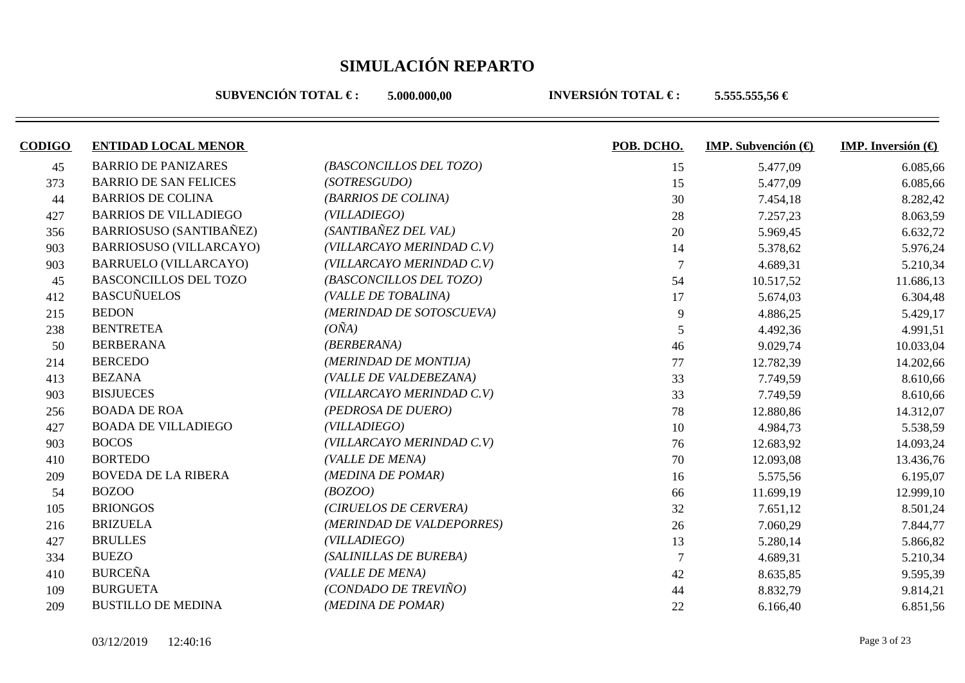**SUBVENCIÓN TOTAL €: 5.000.000.00** 

| <b>CODIGO</b> | <b>ENTIDAD LOCAL MENOR</b>     |                           | POB. DCHO.     | <b>IMP.</b> Subvención $(\theta)$ | <b>IMP.</b> Inversión $\bigoplus$ |
|---------------|--------------------------------|---------------------------|----------------|-----------------------------------|-----------------------------------|
| 45            | <b>BARRIO DE PANIZARES</b>     | (BASCONCILLOS DEL TOZO)   | 15             | 5.477,09                          | 6.085,66                          |
| 373           | <b>BARRIO DE SAN FELICES</b>   | (SOTRESGUDO)              | 15             | 5.477,09                          | 6.085,66                          |
| 44            | <b>BARRIOS DE COLINA</b>       | (BARRIOS DE COLINA)       | 30             | 7.454,18                          | 8.282,42                          |
| 427           | <b>BARRIOS DE VILLADIEGO</b>   | (VILLADIEGO)              | 28             | 7.257,23                          | 8.063,59                          |
| 356           | <b>BARRIOSUSO (SANTIBAÑEZ)</b> | (SANTIBAÑEZ DEL VAL)      | 20             | 5.969,45                          | 6.632,72                          |
| 903           | <b>BARRIOSUSO (VILLARCAYO)</b> | (VILLARCAYO MERINDAD C.V) | 14             | 5.378,62                          | 5.976,24                          |
| 903           | <b>BARRUELO (VILLARCAYO)</b>   | (VILLARCAYO MERINDAD C.V) | $\overline{7}$ | 4.689,31                          | 5.210,34                          |
| 45            | <b>BASCONCILLOS DEL TOZO</b>   | (BASCONCILLOS DEL TOZO)   | 54             | 10.517,52                         | 11.686,13                         |
| 412           | <b>BASCUÑUELOS</b>             | (VALLE DE TOBALINA)       | 17             | 5.674,03                          | 6.304,48                          |
| 215           | <b>BEDON</b>                   | (MERINDAD DE SOTOSCUEVA)  | 9              | 4.886,25                          | 5.429,17                          |
| 238           | <b>BENTRETEA</b>               | $(O\tilde{N}A)$           | 5              | 4.492,36                          | 4.991,51                          |
| 50            | <b>BERBERANA</b>               | (BERBERANA)               | 46             | 9.029,74                          | 10.033,04                         |
| 214           | <b>BERCEDO</b>                 | (MERINDAD DE MONTIJA)     | 77             | 12.782,39                         | 14.202,66                         |
| 413           | <b>BEZANA</b>                  | (VALLE DE VALDEBEZANA)    | 33             | 7.749,59                          | 8.610,66                          |
| 903           | <b>BISJUECES</b>               | (VILLARCAYO MERINDAD C.V) | 33             | 7.749,59                          | 8.610,66                          |
| 256           | <b>BOADA DE ROA</b>            | (PEDROSA DE DUERO)        | 78             | 12.880,86                         | 14.312,07                         |
| 427           | <b>BOADA DE VILLADIEGO</b>     | (VILL A DIEGO)            | 10             | 4.984,73                          | 5.538,59                          |
| 903           | <b>BOCOS</b>                   | (VILLARCAYO MERINDAD C.V) | 76             | 12.683,92                         | 14.093,24                         |
| 410           | <b>BORTEDO</b>                 | (VALLE DE MENA)           | 70             | 12.093,08                         | 13.436,76                         |
| 209           | <b>BOVEDA DE LA RIBERA</b>     | (MEDINA DE POMAR)         | 16             | 5.575,56                          | 6.195,07                          |
| 54            | <b>BOZOO</b>                   | (BOZOO)                   | 66             | 11.699,19                         | 12.999,10                         |
| 105           | <b>BRIONGOS</b>                | (CIRUELOS DE CERVERA)     | 32             | 7.651,12                          | 8.501,24                          |
| 216           | <b>BRIZUELA</b>                | (MERINDAD DE VALDEPORRES) | 26             | 7.060,29                          | 7.844,77                          |
| 427           | <b>BRULLES</b>                 | (VILLADIEGO)              | 13             | 5.280,14                          | 5.866,82                          |
| 334           | <b>BUEZO</b>                   | (SALINILLAS DE BUREBA)    | 7              | 4.689,31                          | 5.210,34                          |
| 410           | <b>BURCEÑA</b>                 | (VALLE DE MENA)           | 42             | 8.635,85                          | 9.595,39                          |
| 109           | <b>BURGUETA</b>                | (CONDADO DE TREVIÑO)      | 44             | 8.832,79                          | 9.814,21                          |
| 209           | <b>BUSTILLO DE MEDINA</b>      | (MEDINA DE POMAR)         | 22             | 6.166,40                          | 6.851,56                          |
|               |                                |                           |                |                                   |                                   |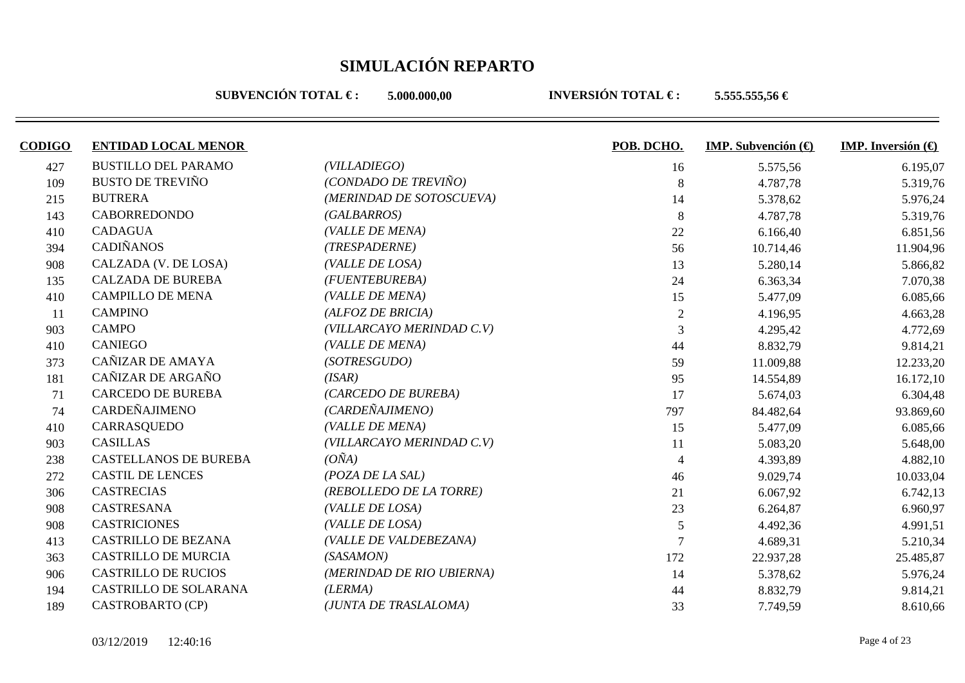**SUBVENCIÓN TOTAL €: 5.000.000.00** 

| <b>CODIGO</b> | <b>ENTIDAD LOCAL MENOR</b>   |                           | POB. DCHO.     | <b>IMP.</b> Subvención $(\theta)$ | <b>IMP.</b> Inversión $\left(\bigoplus$ |
|---------------|------------------------------|---------------------------|----------------|-----------------------------------|-----------------------------------------|
| 427           | <b>BUSTILLO DEL PARAMO</b>   | (VILLADIEGO)              | 16             | 5.575,56                          | 6.195,07                                |
| 109           | <b>BUSTO DE TREVIÑO</b>      | (CONDADO DE TREVIÑO)      | 8              | 4.787,78                          | 5.319,76                                |
| 215           | <b>BUTRERA</b>               | (MERINDAD DE SOTOSCUEVA)  | 14             | 5.378,62                          | 5.976,24                                |
| 143           | <b>CABORREDONDO</b>          | (GALBARROS)               | 8              | 4.787,78                          | 5.319,76                                |
| 410           | <b>CADAGUA</b>               | (VALLE DE MENA)           | 22             | 6.166,40                          | 6.851,56                                |
| 394           | <b>CADIÑANOS</b>             | (TRESPADERNE)             | 56             | 10.714,46                         | 11.904,96                               |
| 908           | CALZADA (V. DE LOSA)         | (VALLE DE LOSA)           | 13             | 5.280,14                          | 5.866,82                                |
| 135           | <b>CALZADA DE BUREBA</b>     | (FUENTEBUREBA)            | 24             | 6.363,34                          | 7.070,38                                |
| 410           | <b>CAMPILLO DE MENA</b>      | (VALLE DE MENA)           | 15             | 5.477,09                          | 6.085,66                                |
| 11            | <b>CAMPINO</b>               | (ALFOZ DE BRICIA)         | $\overline{2}$ | 4.196,95                          | 4.663,28                                |
| 903           | <b>CAMPO</b>                 | (VILLARCAYO MERINDAD C.V) | 3              | 4.295,42                          | 4.772,69                                |
| 410           | <b>CANIEGO</b>               | (VALLE DE MENA)           | 44             | 8.832,79                          | 9.814,21                                |
| 373           | CAÑIZAR DE AMAYA             | (SOTRESGUDO)              | 59             | 11.009,88                         | 12.233,20                               |
| 181           | CAÑIZAR DE ARGAÑO            | (ISAR)                    | 95             | 14.554,89                         | 16.172,10                               |
| 71            | <b>CARCEDO DE BUREBA</b>     | (CARCEDO DE BUREBA)       | 17             | 5.674,03                          | 6.304,48                                |
| 74            | CARDEÑAJIMENO                | (CARDEÑAJIMENO)           | 797            | 84.482,64                         | 93.869,60                               |
| 410           | CARRASQUEDO                  | (VALLE DE MENA)           | 15             | 5.477,09                          | 6.085,66                                |
| 903           | <b>CASILLAS</b>              | (VILLARCAYO MERINDAD C.V) | 11             | 5.083,20                          | 5.648,00                                |
| 238           | <b>CASTELLANOS DE BUREBA</b> | $(O\tilde{N}A)$           | $\overline{4}$ | 4.393,89                          | 4.882,10                                |
| 272           | <b>CASTIL DE LENCES</b>      | (POZA DE LA SAL)          | 46             | 9.029,74                          | 10.033,04                               |
| 306           | <b>CASTRECIAS</b>            | (REBOLLEDO DE LA TORRE)   | 21             | 6.067,92                          | 6.742,13                                |
| 908           | CASTRESANA                   | (VALLE DE LOSA)           | 23             | 6.264,87                          | 6.960,97                                |
| 908           | <b>CASTRICIONES</b>          | (VALLE DE LOSA)           | 5              | 4.492,36                          | 4.991,51                                |
| 413           | <b>CASTRILLO DE BEZANA</b>   | (VALLE DE VALDEBEZANA)    |                | 4.689,31                          | 5.210,34                                |
| 363           | <b>CASTRILLO DE MURCIA</b>   | (SASAMON)                 | 172            | 22.937,28                         | 25.485,87                               |
| 906           | <b>CASTRILLO DE RUCIOS</b>   | (MERINDAD DE RIO UBIERNA) | 14             | 5.378,62                          | 5.976,24                                |
| 194           | <b>CASTRILLO DE SOLARANA</b> | (LERMA)                   | 44             | 8.832,79                          | 9.814,21                                |
| 189           | CASTROBARTO (CP)             | (JUNTA DE TRASLALOMA)     | 33             | 7.749,59                          | 8.610,66                                |
|               |                              |                           |                |                                   |                                         |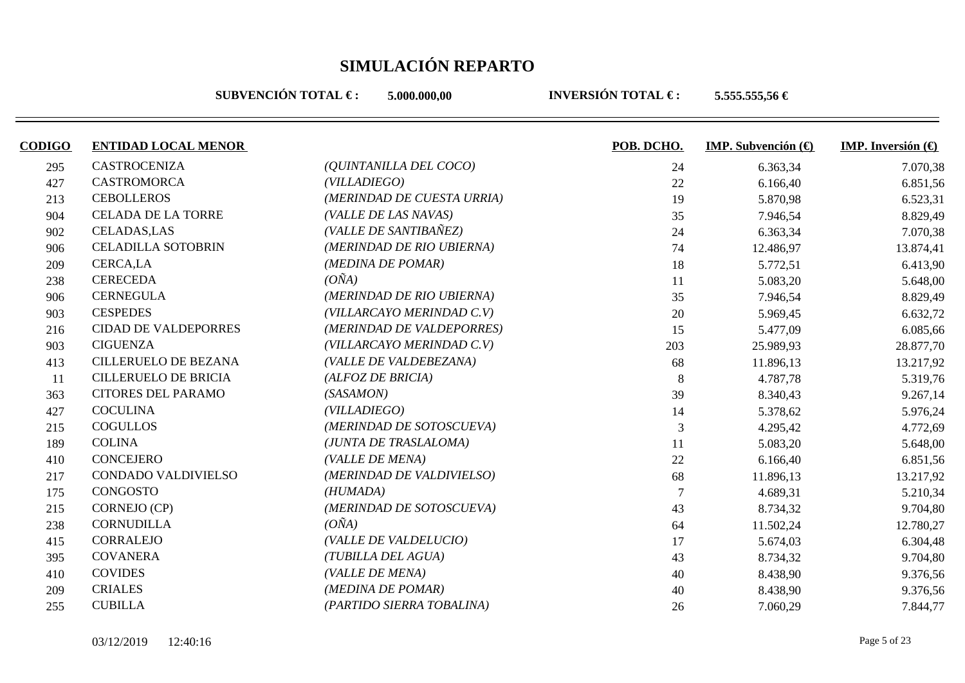**SUBVENCIÓN TOTAL €: 5.000.000.00** 

| <b>CODIGO</b> | <b>ENTIDAD LOCAL MENOR</b>  |                            | POB. DCHO. | <b>IMP.</b> Subvención $(\theta)$ | <b>IMP.</b> Inversión $\bigoplus$ |
|---------------|-----------------------------|----------------------------|------------|-----------------------------------|-----------------------------------|
| 295           | <b>CASTROCENIZA</b>         | (QUINTANILLA DEL COCO)     | 24         | 6.363,34                          | 7.070,38                          |
| 427           | <b>CASTROMORCA</b>          | (VILLADIEGO)               | 22         | 6.166,40                          | 6.851,56                          |
| 213           | <b>CEBOLLEROS</b>           | (MERINDAD DE CUESTA URRIA) | 19         | 5.870,98                          | 6.523,31                          |
| 904           | <b>CELADA DE LA TORRE</b>   | (VALLE DE LAS NAVAS)       | 35         | 7.946,54                          | 8.829,49                          |
| 902           | <b>CELADAS, LAS</b>         | (VALLE DE SANTIBAÑEZ)      | 24         | 6.363,34                          | 7.070,38                          |
| 906           | <b>CELADILLA SOTOBRIN</b>   | (MERINDAD DE RIO UBIERNA)  | 74         | 12.486,97                         | 13.874,41                         |
| 209           | CERCA,LA                    | (MEDINA DE POMAR)          | 18         | 5.772,51                          | 6.413,90                          |
| 238           | <b>CERECEDA</b>             | $(O\tilde{N}A)$            | 11         | 5.083,20                          | 5.648,00                          |
| 906           | <b>CERNEGULA</b>            | (MERINDAD DE RIO UBIERNA)  | 35         | 7.946,54                          | 8.829,49                          |
| 903           | <b>CESPEDES</b>             | (VILLARCAYO MERINDAD C.V)  | 20         | 5.969,45                          | 6.632,72                          |
| 216           | <b>CIDAD DE VALDEPORRES</b> | (MERINDAD DE VALDEPORRES)  | 15         | 5.477,09                          | 6.085,66                          |
| 903           | <b>CIGUENZA</b>             | (VILLARCAYO MERINDAD C.V)  | 203        | 25.989,93                         | 28.877,70                         |
| 413           | <b>CILLERUELO DE BEZANA</b> | (VALLE DE VALDEBEZANA)     | 68         | 11.896,13                         | 13.217,92                         |
| 11            | <b>CILLERUELO DE BRICIA</b> | (ALFOZ DE BRICIA)          | 8          | 4.787,78                          | 5.319,76                          |
| 363           | <b>CITORES DEL PARAMO</b>   | (SASAMON)                  | 39         | 8.340,43                          | 9.267,14                          |
| 427           | <b>COCULINA</b>             | (VILLADIEGO)               | 14         | 5.378,62                          | 5.976,24                          |
| 215           | <b>COGULLOS</b>             | (MERINDAD DE SOTOSCUEVA)   | 3          | 4.295,42                          | 4.772,69                          |
| 189           | <b>COLINA</b>               | (JUNTA DE TRASLALOMA)      | 11         | 5.083,20                          | 5.648,00                          |
| 410           | <b>CONCEJERO</b>            | (VALLE DE MENA)            | 22         | 6.166,40                          | 6.851,56                          |
| 217           | CONDADO VALDIVIELSO         | (MERINDAD DE VALDIVIELSO)  | 68         | 11.896,13                         | 13.217,92                         |
| 175           | CONGOSTO                    | (HUMADA)                   |            | 4.689,31                          | 5.210,34                          |
| 215           | CORNEJO (CP)                | (MERINDAD DE SOTOSCUEVA)   | 43         | 8.734,32                          | 9.704,80                          |
| 238           | <b>CORNUDILLA</b>           | $(O\tilde{N}A)$            | 64         | 11.502,24                         | 12.780,27                         |
| 415           | CORRALEJO                   | (VALLE DE VALDELUCIO)      | 17         | 5.674,03                          | 6.304,48                          |
| 395           | <b>COVANERA</b>             | (TUBILLA DEL AGUA)         | 43         | 8.734,32                          | 9.704,80                          |
| 410           | <b>COVIDES</b>              | (VALLE DE MENA)            | 40         | 8.438,90                          | 9.376,56                          |
| 209           | <b>CRIALES</b>              | (MEDINA DE POMAR)          | 40         | 8.438,90                          | 9.376,56                          |
| 255           | <b>CUBILLA</b>              | (PARTIDO SIERRA TOBALINA)  | 26         | 7.060,29                          | 7.844,77                          |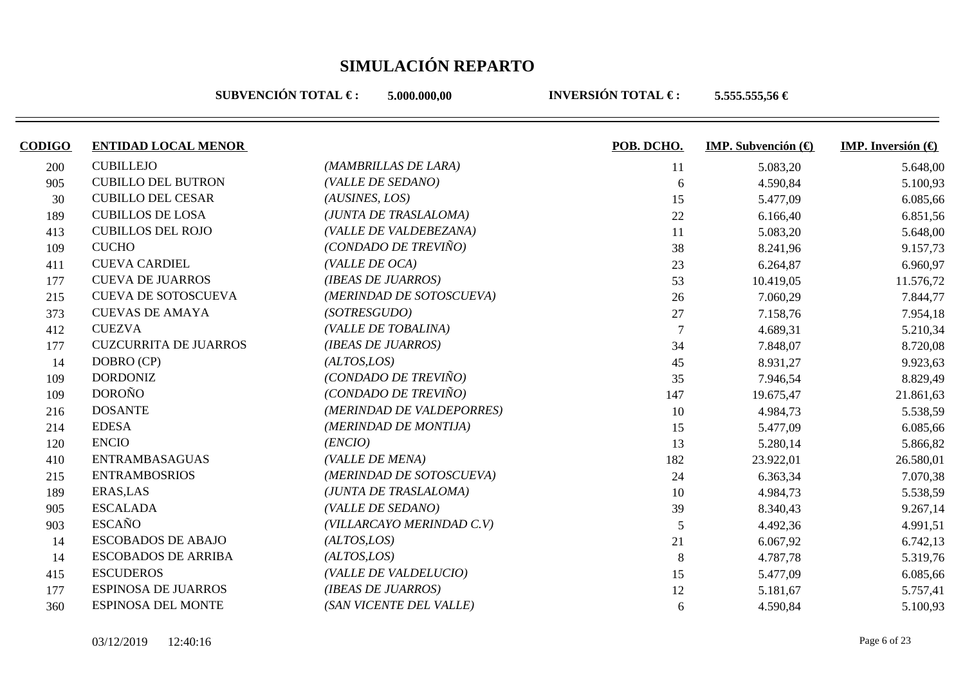**SUBVENCIÓN TOTAL €: 5.000.000.00** 

| <b>CODIGO</b> | <b>ENTIDAD LOCAL MENOR</b>   |                           | POB. DCHO.     | <b>IMP.</b> Subvención $\left(\bigoplus$ | <b>IMP.</b> Inversión $\bigoplus$ |
|---------------|------------------------------|---------------------------|----------------|------------------------------------------|-----------------------------------|
| 200           | <b>CUBILLEJO</b>             | (MAMBRILLAS DE LARA)      | 11             | 5.083,20                                 | 5.648,00                          |
| 905           | <b>CUBILLO DEL BUTRON</b>    | (VALLE DE SEDANO)         | 6              | 4.590,84                                 | 5.100,93                          |
| 30            | <b>CUBILLO DEL CESAR</b>     | (AUSINES, LOS)            | 15             | 5.477,09                                 | 6.085,66                          |
| 189           | <b>CUBILLOS DE LOSA</b>      | (JUNTA DE TRASLALOMA)     | 22             | 6.166,40                                 | 6.851,56                          |
| 413           | <b>CUBILLOS DEL ROJO</b>     | (VALLE DE VALDEBEZANA)    | 11             | 5.083,20                                 | 5.648,00                          |
| 109           | <b>CUCHO</b>                 | (CONDADO DE TREVIÑO)      | 38             | 8.241,96                                 | 9.157,73                          |
| 411           | <b>CUEVA CARDIEL</b>         | (VALLE DE OCA)            | 23             | 6.264,87                                 | 6.960,97                          |
| 177           | <b>CUEVA DE JUARROS</b>      | (IBEAS DE JUARROS)        | 53             | 10.419,05                                | 11.576,72                         |
| 215           | <b>CUEVA DE SOTOSCUEVA</b>   | (MERINDAD DE SOTOSCUEVA)  | 26             | 7.060,29                                 | 7.844,77                          |
| 373           | <b>CUEVAS DE AMAYA</b>       | (SOTRESGUDO)              | 27             | 7.158,76                                 | 7.954,18                          |
| 412           | <b>CUEZVA</b>                | (VALLE DE TOBALINA)       | $\overline{7}$ | 4.689,31                                 | 5.210,34                          |
| 177           | <b>CUZCURRITA DE JUARROS</b> | (IBEAS DE JUARROS)        | 34             | 7.848,07                                 | 8.720,08                          |
| 14            | DOBRO (CP)                   | (ALTOS, LOS)              | 45             | 8.931,27                                 | 9.923,63                          |
| 109           | <b>DORDONIZ</b>              | (CONDADO DE TREVIÑO)      | 35             | 7.946,54                                 | 8.829,49                          |
| 109           | <b>DOROÑO</b>                | (CONDADO DE TREVIÑO)      | 147            | 19.675,47                                | 21.861,63                         |
| 216           | <b>DOSANTE</b>               | (MERINDAD DE VALDEPORRES) | 10             | 4.984,73                                 | 5.538,59                          |
| 214           | <b>EDESA</b>                 | (MERINDAD DE MONTIJA)     | 15             | 5.477,09                                 | 6.085,66                          |
| 120           | <b>ENCIO</b>                 | (ENCIO)                   | 13             | 5.280,14                                 | 5.866,82                          |
| 410           | <b>ENTRAMBASAGUAS</b>        | (VALLE DE MENA)           | 182            | 23.922,01                                | 26.580,01                         |
| 215           | <b>ENTRAMBOSRIOS</b>         | (MERINDAD DE SOTOSCUEVA)  | 24             | 6.363,34                                 | 7.070,38                          |
| 189           | ERAS, LAS                    | (JUNTA DE TRASLALOMA)     | 10             | 4.984,73                                 | 5.538,59                          |
| 905           | <b>ESCALADA</b>              | (VALLE DE SEDANO)         | 39             | 8.340,43                                 | 9.267,14                          |
| 903           | <b>ESCAÑO</b>                | (VILLARCAYO MERINDAD C.V) | 5              | 4.492,36                                 | 4.991,51                          |
| 14            | <b>ESCOBADOS DE ABAJO</b>    | (ALTOS, LOS)              | 21             | 6.067,92                                 | 6.742,13                          |
| 14            | <b>ESCOBADOS DE ARRIBA</b>   | (ALTOS, LOS)              | 8              | 4.787,78                                 | 5.319,76                          |
| 415           | <b>ESCUDEROS</b>             | (VALLE DE VALDELUCIO)     | 15             | 5.477,09                                 | 6.085,66                          |
| 177           | <b>ESPINOSA DE JUARROS</b>   | (IBEAS DE JUARROS)        | 12             | 5.181,67                                 | 5.757,41                          |
| 360           | <b>ESPINOSA DEL MONTE</b>    | (SAN VICENTE DEL VALLE)   | 6              | 4.590,84                                 | 5.100,93                          |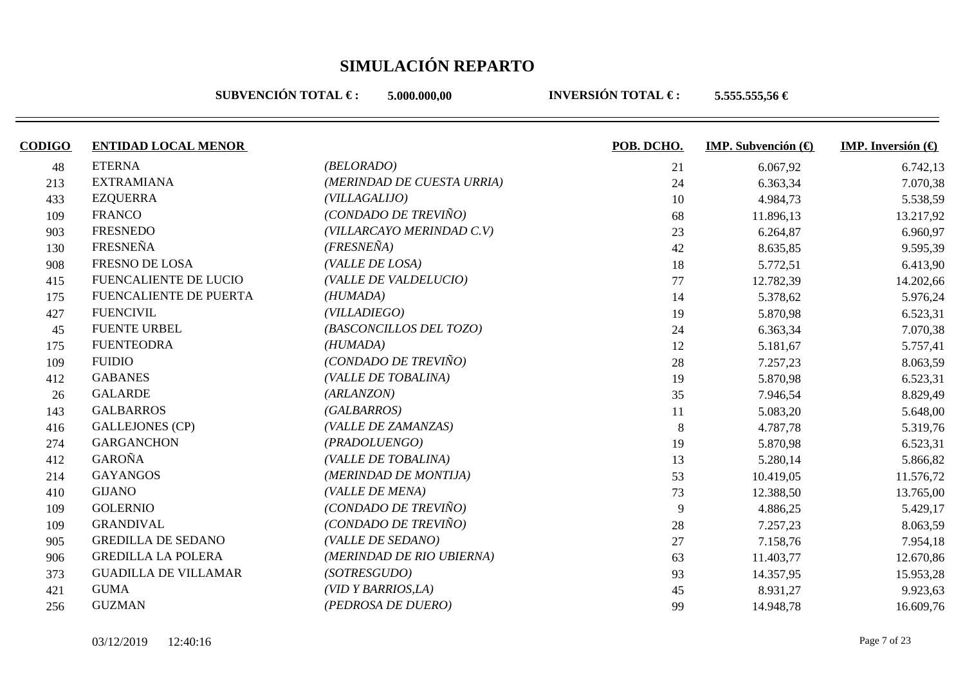**SUBVENCIÓN TOTAL €: 5.000.000.00** 

| <b>CODIGO</b> | <b>ENTIDAD LOCAL MENOR</b>    |                            | POB. DCHO. | IMP. Subvención $(\bigoplus$ | <b>IMP.</b> Inversión $\left(\bigoplus$ |
|---------------|-------------------------------|----------------------------|------------|------------------------------|-----------------------------------------|
| 48            | <b>ETERNA</b>                 | (BELORADO)                 | 21         | 6.067,92                     | 6.742,13                                |
| 213           | <b>EXTRAMIANA</b>             | (MERINDAD DE CUESTA URRIA) | 24         | 6.363,34                     | 7.070,38                                |
| 433           | <b>EZQUERRA</b>               | (VILLAGALIJO)              | 10         | 4.984,73                     | 5.538,59                                |
| 109           | <b>FRANCO</b>                 | (CONDADO DE TREVIÑO)       | 68         | 11.896,13                    | 13.217,92                               |
| 903           | <b>FRESNEDO</b>               | (VILLARCAYO MERINDAD C.V)  | 23         | 6.264,87                     | 6.960,97                                |
| 130           | <b>FRESNEÑA</b>               | $(FRESNE\tilde{N}A)$       | 42         | 8.635,85                     | 9.595,39                                |
| 908           | <b>FRESNO DE LOSA</b>         | (VALLE DE LOSA)            | 18         | 5.772,51                     | 6.413,90                                |
| 415           | FUENCALIENTE DE LUCIO         | (VALLE DE VALDELUCIO)      | 77         | 12.782,39                    | 14.202,66                               |
| 175           | <b>FUENCALIENTE DE PUERTA</b> | (HUMADA)                   | 14         | 5.378,62                     | 5.976,24                                |
| 427           | <b>FUENCIVIL</b>              | (VILLADIEGO)               | 19         | 5.870,98                     | 6.523,31                                |
| 45            | <b>FUENTE URBEL</b>           | (BASCONCILLOS DEL TOZO)    | 24         | 6.363,34                     | 7.070,38                                |
| 175           | <b>FUENTEODRA</b>             | (HUMADA)                   | 12         | 5.181,67                     | 5.757,41                                |
| 109           | <b>FUIDIO</b>                 | (CONDADO DE TREVIÑO)       | 28         | 7.257,23                     | 8.063,59                                |
| 412           | <b>GABANES</b>                | (VALLE DE TOBALINA)        | 19         | 5.870,98                     | 6.523,31                                |
| 26            | <b>GALARDE</b>                | (ARLANZON)                 | 35         | 7.946,54                     | 8.829,49                                |
| 143           | <b>GALBARROS</b>              | (GALBARROS)                | 11         | 5.083,20                     | 5.648,00                                |
| 416           | <b>GALLEJONES (CP)</b>        | (VALLE DE ZAMANZAS)        | 8          | 4.787,78                     | 5.319,76                                |
| 274           | <b>GARGANCHON</b>             | (PRADOLUENGO)              | 19         | 5.870,98                     | 6.523,31                                |
| 412           | <b>GAROÑA</b>                 | (VALLE DE TOBALINA)        | 13         | 5.280,14                     | 5.866,82                                |
| 214           | <b>GAYANGOS</b>               | (MERINDAD DE MONTIJA)      | 53         | 10.419,05                    | 11.576,72                               |
| 410           | <b>GIJANO</b>                 | (VALLE DE MENA)            | 73         | 12.388,50                    | 13.765,00                               |
| 109           | <b>GOLERNIO</b>               | (CONDADO DE TREVIÑO)       | 9          | 4.886,25                     | 5.429,17                                |
| 109           | <b>GRANDIVAL</b>              | (CONDADO DE TREVIÑO)       | 28         | 7.257,23                     | 8.063,59                                |
| 905           | <b>GREDILLA DE SEDANO</b>     | (VALLE DE SEDANO)          | 27         | 7.158,76                     | 7.954,18                                |
| 906           | <b>GREDILLA LA POLERA</b>     | (MERINDAD DE RIO UBIERNA)  | 63         | 11.403,77                    | 12.670,86                               |
| 373           | <b>GUADILLA DE VILLAMAR</b>   | (SOTRESGUDO)               | 93         | 14.357,95                    | 15.953,28                               |
| 421           | <b>GUMA</b>                   | (VID Y BARRIOS, LA)        | 45         | 8.931,27                     | 9.923,63                                |
| 256           | <b>GUZMAN</b>                 | (PEDROSA DE DUERO)         | 99         | 14.948,78                    | 16.609,76                               |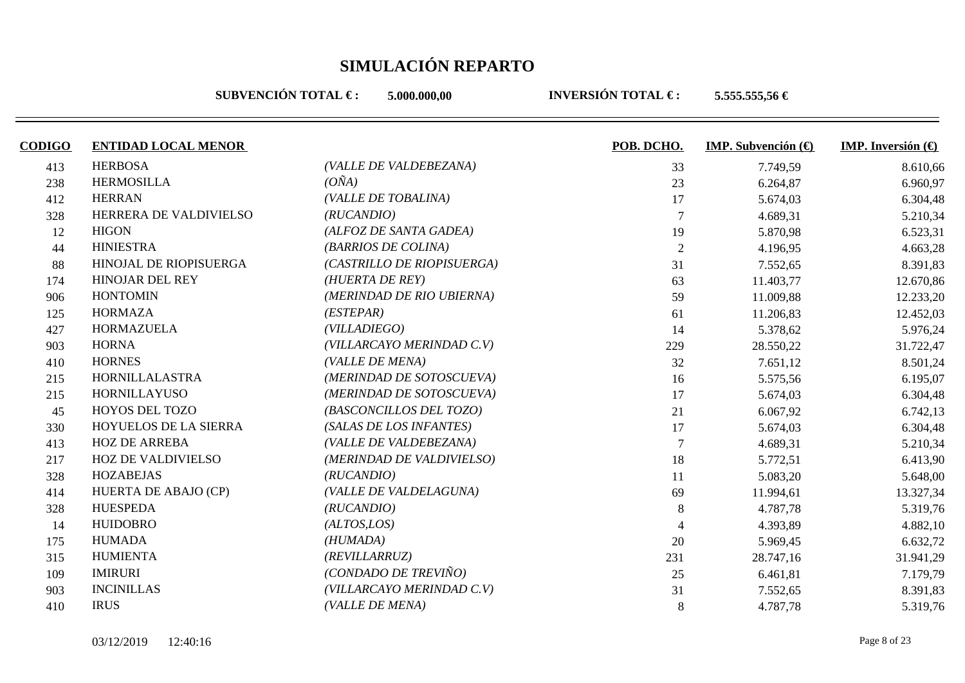**SUBVENCIÓN TOTAL €: 5.000.000.00** 

| <b>CODIGO</b> | <b>ENTIDAD LOCAL MENOR</b> |                            | POB. DCHO. | IMP. Subvención $(\bigoplus$ | <b>IMP.</b> Inversión $\left(\bigoplus$ |
|---------------|----------------------------|----------------------------|------------|------------------------------|-----------------------------------------|
| 413           | <b>HERBOSA</b>             | (VALLE DE VALDEBEZANA)     | 33         | 7.749,59                     | 8.610,66                                |
| 238           | <b>HERMOSILLA</b>          | $(O\tilde{N}A)$            | 23         | 6.264,87                     | 6.960,97                                |
| 412           | <b>HERRAN</b>              | (VALLE DE TOBALINA)        | 17         | 5.674,03                     | 6.304,48                                |
| 328           | HERRERA DE VALDIVIELSO     | (RUCANDIO)                 |            | 4.689,31                     | 5.210,34                                |
| 12            | <b>HIGON</b>               | (ALFOZ DE SANTA GADEA)     | 19         | 5.870,98                     | 6.523,31                                |
| 44            | <b>HINIESTRA</b>           | (BARRIOS DE COLINA)        | 2          | 4.196,95                     | 4.663,28                                |
| 88            | HINOJAL DE RIOPISUERGA     | (CASTRILLO DE RIOPISUERGA) | 31         | 7.552,65                     | 8.391,83                                |
| 174           | <b>HINOJAR DEL REY</b>     | (HUERTA DE REY)            | 63         | 11.403,77                    | 12.670,86                               |
| 906           | <b>HONTOMIN</b>            | (MERINDAD DE RIO UBIERNA)  | 59         | 11.009,88                    | 12.233,20                               |
| 125           | <b>HORMAZA</b>             | (ESTEPAR)                  | 61         | 11.206,83                    | 12.452,03                               |
| 427           | <b>HORMAZUELA</b>          | (VILLADIEGO)               | 14         | 5.378,62                     | 5.976,24                                |
| 903           | <b>HORNA</b>               | (VILLARCAYO MERINDAD C.V)  | 229        | 28.550,22                    | 31.722,47                               |
| 410           | <b>HORNES</b>              | (VALLE DE MENA)            | 32         | 7.651,12                     | 8.501,24                                |
| 215           | HORNILLALASTRA             | (MERINDAD DE SOTOSCUEVA)   | 16         | 5.575,56                     | 6.195,07                                |
| 215           | <b>HORNILLAYUSO</b>        | (MERINDAD DE SOTOSCUEVA)   | 17         | 5.674,03                     | 6.304,48                                |
| 45            | HOYOS DEL TOZO             | (BASCONCILLOS DEL TOZO)    | 21         | 6.067,92                     | 6.742,13                                |
| 330           | HOYUELOS DE LA SIERRA      | (SALAS DE LOS INFANTES)    | 17         | 5.674,03                     | 6.304,48                                |
| 413           | <b>HOZ DE ARREBA</b>       | (VALLE DE VALDEBEZANA)     |            | 4.689,31                     | 5.210,34                                |
| 217           | <b>HOZ DE VALDIVIELSO</b>  | (MERINDAD DE VALDIVIELSO)  | 18         | 5.772,51                     | 6.413,90                                |
| 328           | <b>HOZABEJAS</b>           | (RUCANDIO)                 | 11         | 5.083,20                     | 5.648,00                                |
| 414           | HUERTA DE ABAJO (CP)       | (VALLE DE VALDELAGUNA)     | 69         | 11.994,61                    | 13.327,34                               |
| 328           | <b>HUESPEDA</b>            | (RUCANDIO)                 | 8          | 4.787,78                     | 5.319,76                                |
| 14            | <b>HUIDOBRO</b>            | (ALTOS, LOS)               |            | 4.393,89                     | 4.882,10                                |
| 175           | <b>HUMADA</b>              | (HUMADA)                   | 20         | 5.969,45                     | 6.632,72                                |
| 315           | <b>HUMIENTA</b>            | (REVILLARRUZ)              | 231        | 28.747,16                    | 31.941,29                               |
| 109           | <b>IMIRURI</b>             | (CONDADO DE TREVIÑO)       | 25         | 6.461,81                     | 7.179,79                                |
| 903           | <b>INCINILLAS</b>          | (VILLARCAYO MERINDAD C.V)  | 31         | 7.552,65                     | 8.391,83                                |
| 410           | <b>IRUS</b>                | (VALLE DE MENA)            | 8          | 4.787,78                     | 5.319,76                                |
|               |                            |                            |            |                              |                                         |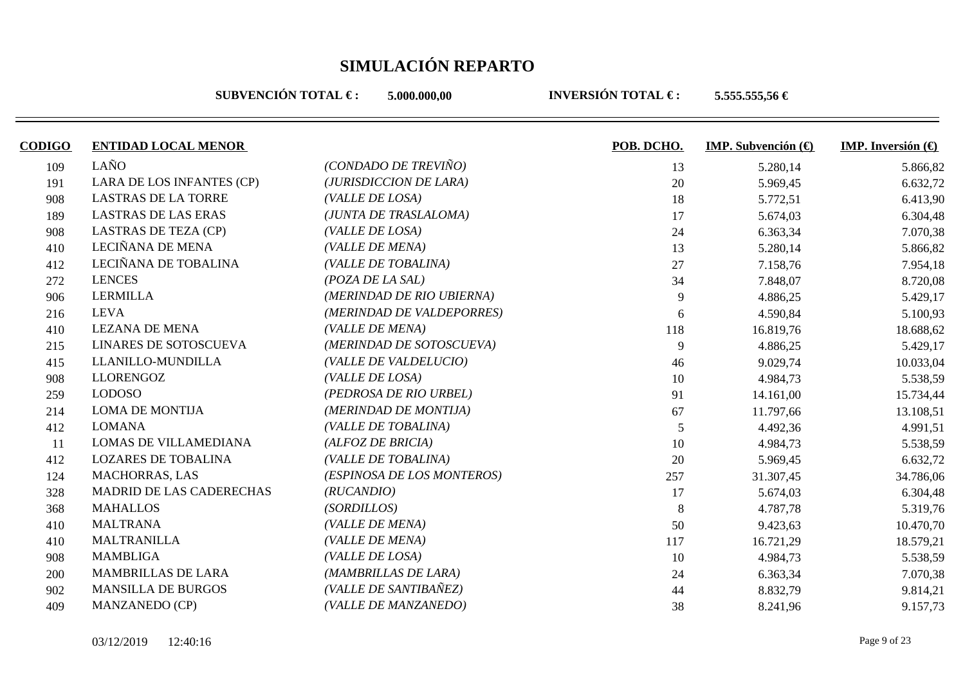**SUBVENCIÓN TOTAL €: 5.000.000.00** 

| <b>CODIGO</b> | <b>ENTIDAD LOCAL MENOR</b>  |                            | POB. DCHO. | <b>IMP.</b> Subvención $(\theta)$ | <b>IMP.</b> Inversión $\bigoplus$ |
|---------------|-----------------------------|----------------------------|------------|-----------------------------------|-----------------------------------|
| 109           | LAÑO                        | (CONDADO DE TREVIÑO)       | 13         | 5.280,14                          | 5.866,82                          |
| 191           | LARA DE LOS INFANTES (CP)   | (JURISDICCION DE LARA)     | 20         | 5.969,45                          | 6.632,72                          |
| 908           | <b>LASTRAS DE LA TORRE</b>  | (VALLE DE LOSA)            | 18         | 5.772,51                          | 6.413,90                          |
| 189           | <b>LASTRAS DE LAS ERAS</b>  | (JUNTA DE TRASLALOMA)      | 17         | 5.674,03                          | 6.304,48                          |
| 908           | <b>LASTRAS DE TEZA (CP)</b> | (VALLE DE LOSA)            | 24         | 6.363,34                          | 7.070,38                          |
| 410           | LECIÑANA DE MENA            | (VALLE DE MENA)            | 13         | 5.280,14                          | 5.866,82                          |
| 412           | LECIÑANA DE TOBALINA        | (VALLE DE TOBALINA)        | 27         | 7.158,76                          | 7.954,18                          |
| 272           | <b>LENCES</b>               | $(POZA$ DE LA SAL)         | 34         | 7.848,07                          | 8.720,08                          |
| 906           | <b>LERMILLA</b>             | (MERINDAD DE RIO UBIERNA)  | 9          | 4.886,25                          | 5.429,17                          |
| 216           | <b>LEVA</b>                 | (MERINDAD DE VALDEPORRES)  | 6          | 4.590,84                          | 5.100,93                          |
| 410           | <b>LEZANA DE MENA</b>       | (VALLE DE MENA)            | 118        | 16.819,76                         | 18.688,62                         |
| 215           | LINARES DE SOTOSCUEVA       | (MERINDAD DE SOTOSCUEVA)   | 9          | 4.886,25                          | 5.429,17                          |
| 415           | LLANILLO-MUNDILLA           | (VALLE DE VALDELUCIO)      | 46         | 9.029,74                          | 10.033,04                         |
| 908           | <b>LLORENGOZ</b>            | (VALLE DE LOSA)            | 10         | 4.984,73                          | 5.538,59                          |
| 259           | <b>LODOSO</b>               | (PEDROSA DE RIO URBEL)     | 91         | 14.161,00                         | 15.734,44                         |
| 214           | <b>LOMA DE MONTIJA</b>      | (MERINDAD DE MONTIJA)      | 67         | 11.797,66                         | 13.108,51                         |
| 412           | <b>LOMANA</b>               | (VALLE DE TOBALINA)        | 5          | 4.492,36                          | 4.991,51                          |
| 11            | LOMAS DE VILLAMEDIANA       | (ALFOZ DE BRICIA)          | 10         | 4.984,73                          | 5.538,59                          |
| 412           | <b>LOZARES DE TOBALINA</b>  | (VALLE DE TOBALINA)        | 20         | 5.969,45                          | 6.632,72                          |
| 124           | <b>MACHORRAS, LAS</b>       | (ESPINOSA DE LOS MONTEROS) | 257        | 31.307,45                         | 34.786,06                         |
| 328           | MADRID DE LAS CADERECHAS    | (RUCANDIO)                 | 17         | 5.674,03                          | 6.304,48                          |
| 368           | <b>MAHALLOS</b>             | (SORDILLOS)                | 8          | 4.787,78                          | 5.319,76                          |
| 410           | <b>MALTRANA</b>             | (VALLE DE MENA)            | 50         | 9.423,63                          | 10.470,70                         |
| 410           | <b>MALTRANILLA</b>          | (VALLE DE MENA)            | 117        | 16.721,29                         | 18.579,21                         |
| 908           | <b>MAMBLIGA</b>             | (VALLE DE LOSA)            | 10         | 4.984,73                          | 5.538,59                          |
| 200           | <b>MAMBRILLAS DE LARA</b>   | (MAMBRILLAS DE LARA)       | 24         | 6.363,34                          | 7.070,38                          |
| 902           | <b>MANSILLA DE BURGOS</b>   | (VALLE DE SANTIBAÑEZ)      | 44         | 8.832,79                          | 9.814,21                          |
| 409           | <b>MANZANEDO (CP)</b>       | (VALLE DE MANZANEDO)       | 38         | 8.241,96                          | 9.157,73                          |
|               |                             |                            |            |                                   |                                   |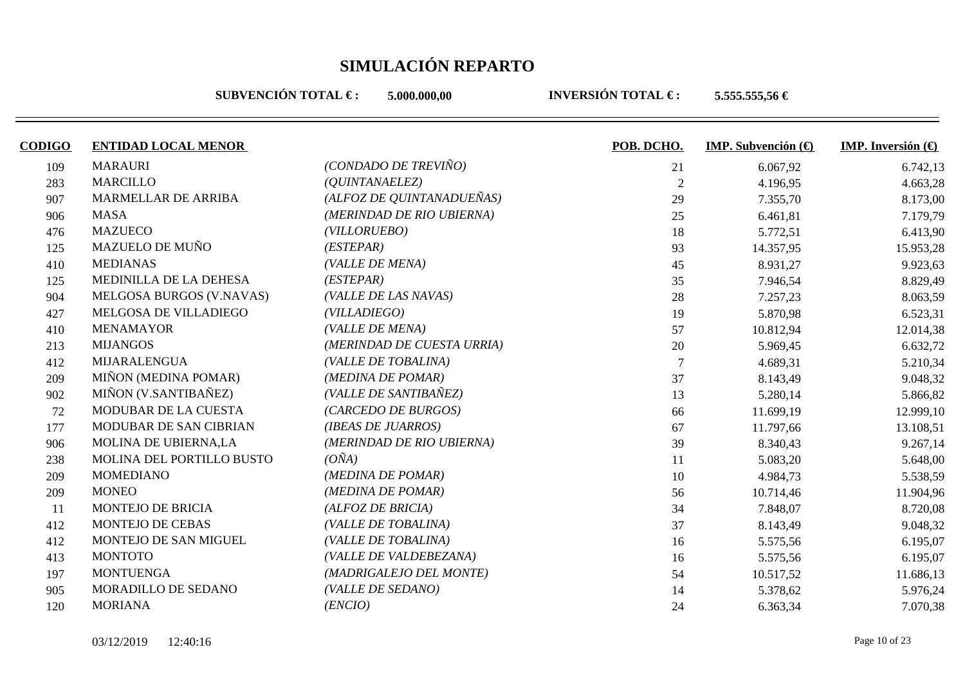**SUBVENCIÓN TOTAL €: 5.000.000.00** 

| <b>CODIGO</b> | <b>ENTIDAD LOCAL MENOR</b> |                            | POB. DCHO.     | <b>IMP.</b> Subvención $(\theta)$ | <b>IMP.</b> Inversión $\left(\bigoplus$ |
|---------------|----------------------------|----------------------------|----------------|-----------------------------------|-----------------------------------------|
| 109           | <b>MARAURI</b>             | (CONDADO DE TREVIÑO)       | 21             | 6.067,92                          | 6.742,13                                |
| 283           | <b>MARCILLO</b>            | ( <i>QUINTANAELEZ</i> )    | $\overline{2}$ | 4.196,95                          | 4.663,28                                |
| 907           | MARMELLAR DE ARRIBA        | (ALFOZ DE QUINTANADUEÑAS)  | 29             | 7.355,70                          | 8.173,00                                |
| 906           | <b>MASA</b>                | (MERINDAD DE RIO UBIERNA)  | 25             | 6.461,81                          | 7.179,79                                |
| 476           | <b>MAZUECO</b>             | (VILLORUEBO)               | 18             | 5.772,51                          | 6.413,90                                |
| 125           | <b>MAZUELO DE MUÑO</b>     | (ESTEPAR)                  | 93             | 14.357,95                         | 15.953,28                               |
| 410           | <b>MEDIANAS</b>            | (VALLE DE MENA)            | 45             | 8.931,27                          | 9.923,63                                |
| 125           | MEDINILLA DE LA DEHESA     | (ESTEPAR)                  | 35             | 7.946,54                          | 8.829,49                                |
| 904           | MELGOSA BURGOS (V.NAVAS)   | (VALLE DE LAS NAVAS)       | 28             | 7.257,23                          | 8.063,59                                |
| 427           | MELGOSA DE VILLADIEGO      | (VILLADIEGO)               | 19             | 5.870,98                          | 6.523,31                                |
| 410           | <b>MENAMAYOR</b>           | (VALLE DE MENA)            | 57             | 10.812,94                         | 12.014,38                               |
| 213           | <b>MIJANGOS</b>            | (MERINDAD DE CUESTA URRIA) | 20             | 5.969,45                          | 6.632,72                                |
| 412           | <b>MIJARALENGUA</b>        | (VALLE DE TOBALINA)        |                | 4.689,31                          | 5.210,34                                |
| 209           | MIÑON (MEDINA POMAR)       | (MEDINA DE POMAR)          | 37             | 8.143,49                          | 9.048,32                                |
| 902           | MIÑON (V.SANTIBAÑEZ)       | (VALLE DE SANTIBAÑEZ)      | 13             | 5.280,14                          | 5.866,82                                |
| 72            | MODUBAR DE LA CUESTA       | (CARCEDO DE BURGOS)        | 66             | 11.699,19                         | 12.999,10                               |
| 177           | MODUBAR DE SAN CIBRIAN     | (IBEAS DE JUARROS)         | 67             | 11.797,66                         | 13.108,51                               |
| 906           | MOLINA DE UBIERNA,LA       | (MERINDAD DE RIO UBIERNA)  | 39             | 8.340,43                          | 9.267,14                                |
| 238           | MOLINA DEL PORTILLO BUSTO  | $(O\tilde{N}A)$            | 11             | 5.083,20                          | 5.648,00                                |
| 209           | <b>MOMEDIANO</b>           | (MEDINA DE POMAR)          | 10             | 4.984,73                          | 5.538,59                                |
| 209           | <b>MONEO</b>               | (MEDINA DE POMAR)          | 56             | 10.714,46                         | 11.904,96                               |
| <sup>11</sup> | <b>MONTEJO DE BRICIA</b>   | (ALFOZ DE BRICIA)          | 34             | 7.848,07                          | 8.720,08                                |
| 412           | <b>MONTEJO DE CEBAS</b>    | (VALLE DE TOBALINA)        | 37             | 8.143,49                          | 9.048,32                                |
| 412           | MONTEJO DE SAN MIGUEL      | (VALLE DE TOBALINA)        | 16             | 5.575,56                          | 6.195,07                                |
| 413           | <b>MONTOTO</b>             | (VALLE DE VALDEBEZANA)     | 16             | 5.575,56                          | 6.195,07                                |
| 197           | <b>MONTUENGA</b>           | (MADRIGALEJO DEL MONTE)    | 54             | 10.517,52                         | 11.686,13                               |
| 905           | MORADILLO DE SEDANO        | (VALLE DE SEDANO)          | 14             | 5.378,62                          | 5.976,24                                |
| 120           | <b>MORIANA</b>             | (ENCIO)                    | 24             | 6.363,34                          | 7.070,38                                |
|               |                            |                            |                |                                   |                                         |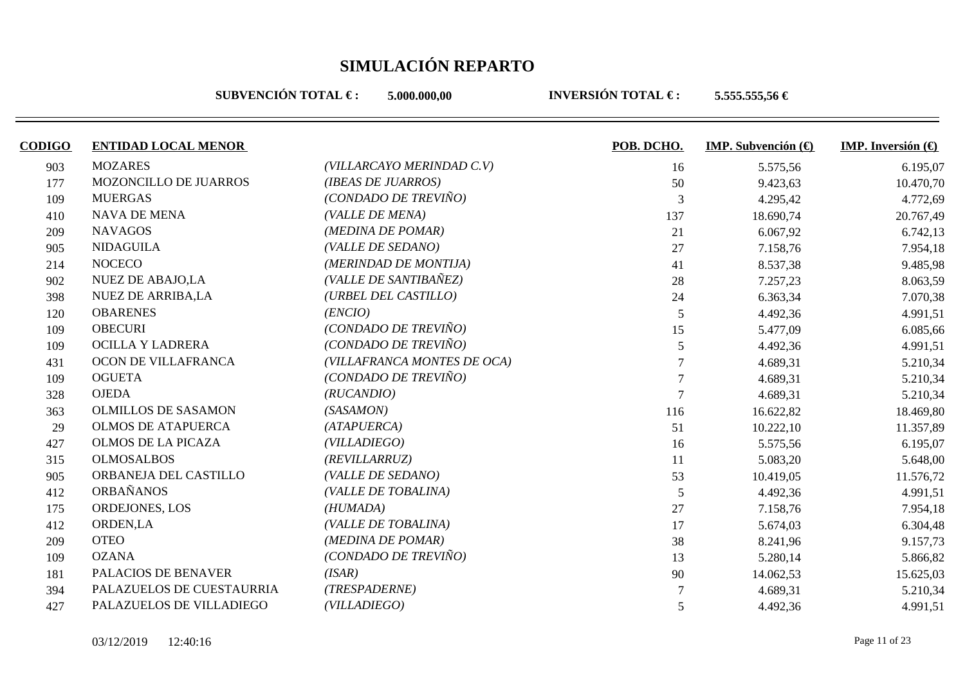**SUBVENCIÓN TOTAL €: 5.000.000.00** 

| <b>CODIGO</b> | <b>ENTIDAD LOCAL MENOR</b> |                             | POB. DCHO.     | <b>IMP.</b> Subvención $\left(\bigoplus$ | <b>IMP.</b> Inversión $\bigoplus$ |
|---------------|----------------------------|-----------------------------|----------------|------------------------------------------|-----------------------------------|
| 903           | <b>MOZARES</b>             | (VILLARCAYO MERINDAD C.V)   | 16             | 5.575,56                                 | 6.195,07                          |
| 177           | MOZONCILLO DE JUARROS      | (IBEAS DE JUARROS)          | 50             | 9.423,63                                 | 10.470,70                         |
| 109           | <b>MUERGAS</b>             | (CONDADO DE TREVIÑO)        | 3              | 4.295,42                                 | 4.772,69                          |
| 410           | <b>NAVA DE MENA</b>        | (VALLE DE MENA)             | 137            | 18.690,74                                | 20.767,49                         |
| 209           | <b>NAVAGOS</b>             | (MEDINA DE POMAR)           | 21             | 6.067,92                                 | 6.742,13                          |
| 905           | <b>NIDAGUILA</b>           | (VALLE DE SEDANO)           | 27             | 7.158,76                                 | 7.954,18                          |
| 214           | <b>NOCECO</b>              | (MERINDAD DE MONTIJA)       | 41             | 8.537,38                                 | 9.485,98                          |
| 902           | <b>NUEZ DE ABAJO,LA</b>    | (VALLE DE SANTIBAÑEZ)       | 28             | 7.257,23                                 | 8.063,59                          |
| 398           | <b>NUEZ DE ARRIBA,LA</b>   | (URBEL DEL CASTILLO)        | 24             | 6.363,34                                 | 7.070,38                          |
| 120           | <b>OBARENES</b>            | (ENCIO)                     | $\sqrt{5}$     | 4.492,36                                 | 4.991,51                          |
| 109           | <b>OBECURI</b>             | (CONDADO DE TREVIÑO)        | 15             | 5.477,09                                 | 6.085,66                          |
| 109           | OCILLA Y LADRERA           | (CONDADO DE TREVIÑO)        | 5              | 4.492,36                                 | 4.991,51                          |
| 431           | OCON DE VILLAFRANCA        | (VILLAFRANCA MONTES DE OCA) |                | 4.689,31                                 | 5.210,34                          |
| 109           | <b>OGUETA</b>              | (CONDADO DE TREVIÑO)        |                | 4.689,31                                 | 5.210,34                          |
| 328           | <b>OJEDA</b>               | (RUCANDIO)                  |                | 4.689,31                                 | 5.210,34                          |
| 363           | <b>OLMILLOS DE SASAMON</b> | (SASAMON)                   | 116            | 16.622,82                                | 18.469,80                         |
| 29            | <b>OLMOS DE ATAPUERCA</b>  | (ATAPUERCA)                 | 51             | 10.222,10                                | 11.357,89                         |
| 427           | <b>OLMOS DE LA PICAZA</b>  | (VILLADIEGO)                | 16             | 5.575,56                                 | 6.195,07                          |
| 315           | <b>OLMOSALBOS</b>          | (REVILLARRUZ)               | 11             | 5.083,20                                 | 5.648,00                          |
| 905           | ORBANEJA DEL CASTILLO      | (VALLE DE SEDANO)           | 53             | 10.419,05                                | 11.576,72                         |
| 412           | <b>ORBAÑANOS</b>           | (VALLE DE TOBALINA)         | $\mathfrak{S}$ | 4.492,36                                 | 4.991,51                          |
| 175           | ORDEJONES, LOS             | (HUMADA)                    | 27             | 7.158,76                                 | 7.954,18                          |
| 412           | ORDEN,LA                   | (VALLE DE TOBALINA)         | 17             | 5.674,03                                 | 6.304,48                          |
| 209           | <b>OTEO</b>                | (MEDINA DE POMAR)           | 38             | 8.241,96                                 | 9.157,73                          |
| 109           | <b>OZANA</b>               | (CONDADO DE TREVIÑO)        | 13             | 5.280,14                                 | 5.866,82                          |
| 181           | PALACIOS DE BENAVER        | (ISAR)                      | 90             | 14.062,53                                | 15.625,03                         |
| 394           | PALAZUELOS DE CUESTAURRIA  | (TRESPADERNE)               |                | 4.689,31                                 | 5.210,34                          |
| 427           | PALAZUELOS DE VILLADIEGO   | (VILLADIEGO)                | 5              | 4.492,36                                 | 4.991,51                          |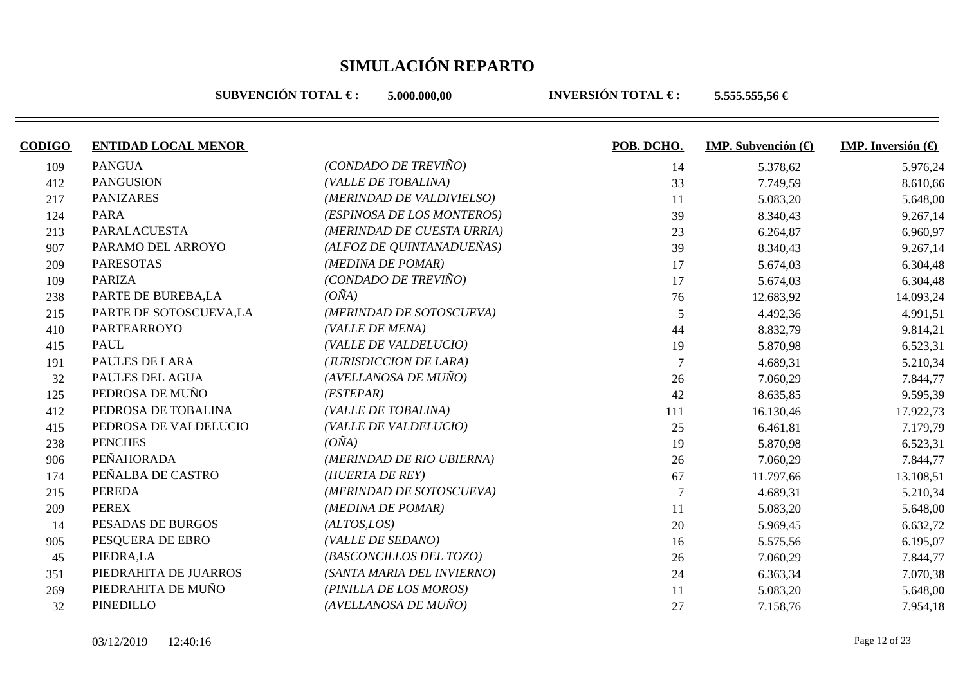**SUBVENCIÓN TOTAL €: 5.000.000.00** 

| <b>CODIGO</b> | <b>ENTIDAD LOCAL MENOR</b> |                            | POB. DCHO.     | IMP. Subvención $(\bigoplus$ | IMP. Inversión $\Theta$ |
|---------------|----------------------------|----------------------------|----------------|------------------------------|-------------------------|
| 109           | <b>PANGUA</b>              | (CONDADO DE TREVIÑO)       | 14             | 5.378,62                     | 5.976,24                |
| 412           | <b>PANGUSION</b>           | (VALLE DE TOBALINA)        | 33             | 7.749,59                     | 8.610,66                |
| 217           | <b>PANIZARES</b>           | (MERINDAD DE VALDIVIELSO)  | 11             | 5.083,20                     | 5.648,00                |
| 124           | <b>PARA</b>                | (ESPINOSA DE LOS MONTEROS) | 39             | 8.340,43                     | 9.267,14                |
| 213           | PARALACUESTA               | (MERINDAD DE CUESTA URRIA) | 23             | 6.264,87                     | 6.960,97                |
| 907           | PARAMO DEL ARROYO          | (ALFOZ DE QUINTANADUEÑAS)  | 39             | 8.340,43                     | 9.267,14                |
| 209           | <b>PARESOTAS</b>           | (MEDINA DE POMAR)          | 17             | 5.674,03                     | 6.304,48                |
| 109           | <b>PARIZA</b>              | (CONDADO DE TREVIÑO)       | 17             | 5.674,03                     | 6.304,48                |
| 238           | PARTE DE BUREBA,LA         | $(O\tilde{N}A)$            | 76             | 12.683,92                    | 14.093,24               |
| 215           | PARTE DE SOTOSCUEVA,LA     | (MERINDAD DE SOTOSCUEVA)   | $\mathfrak{S}$ | 4.492,36                     | 4.991,51                |
| 410           | <b>PARTEARROYO</b>         | (VALLE DE MENA)            | 44             | 8.832,79                     | 9.814,21                |
| 415           | <b>PAUL</b>                | (VALLE DE VALDELUCIO)      | 19             | 5.870,98                     | 6.523,31                |
| 191           | PAULES DE LARA             | (JURISDICCION DE LARA)     |                | 4.689,31                     | 5.210,34                |
| 32            | PAULES DEL AGUA            | (AVELLANOSA DE MUÑO)       | 26             | 7.060,29                     | 7.844,77                |
| 125           | PEDROSA DE MUÑO            | (ESTEPAR)                  | 42             | 8.635,85                     | 9.595,39                |
| 412           | PEDROSA DE TOBALINA        | (VALLE DE TOBALINA)        | 111            | 16.130,46                    | 17.922,73               |
| 415           | PEDROSA DE VALDELUCIO      | (VALLE DE VALDELUCIO)      | 25             | 6.461,81                     | 7.179,79                |
| 238           | <b>PENCHES</b>             | $(O\tilde{N}A)$            | 19             | 5.870,98                     | 6.523,31                |
| 906           | PEÑAHORADA                 | (MERINDAD DE RIO UBIERNA)  | 26             | 7.060,29                     | 7.844,77                |
| 174           | PEÑALBA DE CASTRO          | (HUERTA DE REY)            | 67             | 11.797,66                    | 13.108,51               |
| 215           | <b>PEREDA</b>              | (MERINDAD DE SOTOSCUEVA)   |                | 4.689,31                     | 5.210,34                |
| 209           | <b>PEREX</b>               | (MEDINA DE POMAR)          | 11             | 5.083,20                     | 5.648,00                |
| 14            | PESADAS DE BURGOS          | (ALTOS, LOS)               | 20             | 5.969,45                     | 6.632,72                |
| 905           | PESQUERA DE EBRO           | (VALLE DE SEDANO)          | 16             | 5.575,56                     | 6.195,07                |
| 45            | PIEDRA,LA                  | (BASCONCILLOS DEL TOZO)    | 26             | 7.060,29                     | 7.844,77                |
| 351           | PIEDRAHITA DE JUARROS      | (SANTA MARIA DEL INVIERNO) | 24             | 6.363,34                     | 7.070,38                |
| 269           | PIEDRAHITA DE MUÑO         | (PINILLA DE LOS MOROS)     | 11             | 5.083,20                     | 5.648,00                |
| 32            | PINEDILLO                  | (AVELLANOSA DE MUÑO)       | 27             | 7.158,76                     | 7.954,18                |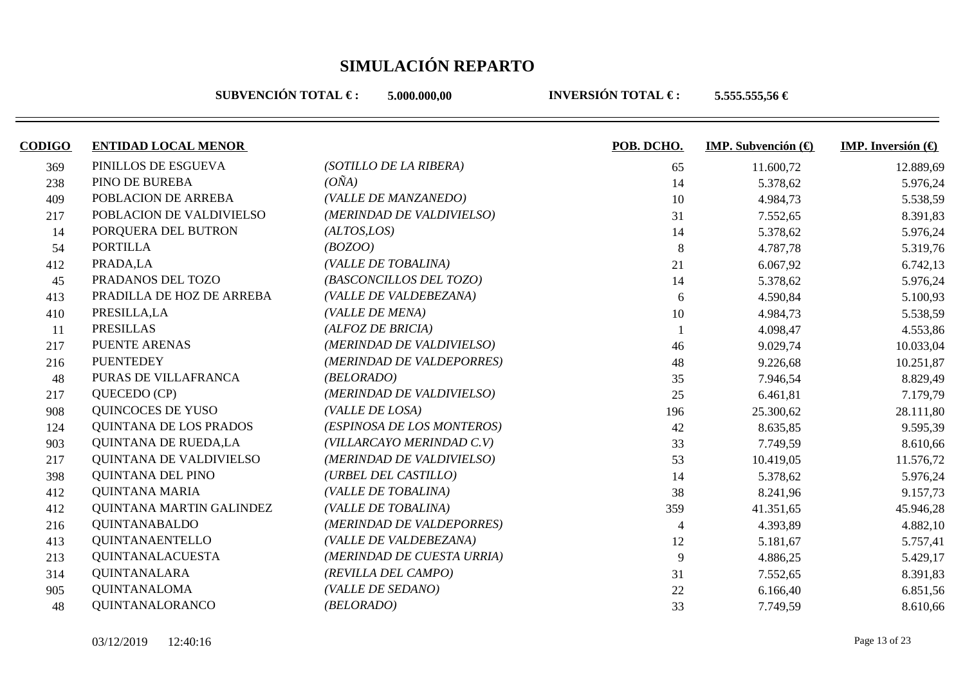**SUBVENCIÓN TOTAL €: 5.000.000.00** 

| <b>CODIGO</b> | <b>ENTIDAD LOCAL MENOR</b>  |                            | POB. DCHO. | IMP. Subvención $\Theta$ | <b>IMP.</b> Inversión $\bigoplus$ |
|---------------|-----------------------------|----------------------------|------------|--------------------------|-----------------------------------|
| 369           | PINILLOS DE ESGUEVA         | (SOTILLO DE LA RIBERA)     | 65         | 11.600,72                | 12.889,69                         |
| 238           | PINO DE BUREBA              | $(O\tilde{N}A)$            | 14         | 5.378,62                 | 5.976,24                          |
| 409           | POBLACION DE ARREBA         | (VALLE DE MANZANEDO)       | 10         | 4.984,73                 | 5.538,59                          |
| 217           | POBLACION DE VALDIVIELSO    | (MERINDAD DE VALDIVIELSO)  | 31         | 7.552,65                 | 8.391,83                          |
| 14            | PORQUERA DEL BUTRON         | (ALTOS, LOS)               | 14         | 5.378,62                 | 5.976,24                          |
| 54            | <b>PORTILLA</b>             | (BOZOO)                    | 8          | 4.787,78                 | 5.319,76                          |
| 412           | PRADA,LA                    | (VALLE DE TOBALINA)        | 21         | 6.067,92                 | 6.742,13                          |
| 45            | PRADANOS DEL TOZO           | (BASCONCILLOS DEL TOZO)    | 14         | 5.378,62                 | 5.976,24                          |
| 413           | PRADILLA DE HOZ DE ARREBA   | (VALLE DE VALDEBEZANA)     | 6          | 4.590,84                 | 5.100,93                          |
| 410           | PRESILLA, LA                | (VALLE DE MENA)            | 10         | 4.984,73                 | 5.538,59                          |
| <sup>11</sup> | <b>PRESILLAS</b>            | (ALFOZ DE BRICIA)          |            | 4.098,47                 | 4.553,86                          |
| 217           | <b>PUENTE ARENAS</b>        | (MERINDAD DE VALDIVIELSO)  | 46         | 9.029,74                 | 10.033,04                         |
| 216           | <b>PUENTEDEY</b>            | (MERINDAD DE VALDEPORRES)  | 48         | 9.226,68                 | 10.251,87                         |
| 48            | PURAS DE VILLAFRANCA        | (BELORADO)                 | 35         | 7.946,54                 | 8.829,49                          |
| 217           | QUECEDO (CP)                | (MERINDAD DE VALDIVIELSO)  | 25         | 6.461,81                 | 7.179,79                          |
| 908           | <b>QUINCOCES DE YUSO</b>    | (VALLE DE LOSA)            | 196        | 25.300,62                | 28.111,80                         |
| 124           | QUINTANA DE LOS PRADOS      | (ESPINOSA DE LOS MONTEROS) | 42         | 8.635,85                 | 9.595,39                          |
| 903           | <b>QUINTANA DE RUEDA,LA</b> | (VILLARCAYO MERINDAD C.V)  | 33         | 7.749,59                 | 8.610,66                          |
| 217           | QUINTANA DE VALDIVIELSO     | (MERINDAD DE VALDIVIELSO)  | 53         | 10.419,05                | 11.576,72                         |
| 398           | QUINTANA DEL PINO           | (URBEL DEL CASTILLO)       | 14         | 5.378,62                 | 5.976,24                          |
| 412           | <b>QUINTANA MARIA</b>       | (VALLE DE TOBALINA)        | 38         | 8.241,96                 | 9.157,73                          |
| 412           | QUINTANA MARTIN GALINDEZ    | (VALLE DE TOBALINA)        | 359        | 41.351,65                | 45.946,28                         |
| 216           | <b>QUINTANABALDO</b>        | (MERINDAD DE VALDEPORRES)  | 4          | 4.393,89                 | 4.882,10                          |
| 413           | QUINTANAENTELLO             | (VALLE DE VALDEBEZANA)     | 12         | 5.181,67                 | 5.757,41                          |
| 213           | QUINTANALACUESTA            | (MERINDAD DE CUESTA URRIA) | 9          | 4.886,25                 | 5.429,17                          |
| 314           | <b>QUINTANALARA</b>         | (REVILLA DEL CAMPO)        | 31         | 7.552,65                 | 8.391,83                          |
| 905           | <b>QUINTANALOMA</b>         | (VALLE DE SEDANO)          | 22         | 6.166,40                 | 6.851,56                          |
| 48            | QUINTANALORANCO             | (BELORADO)                 | 33         | 7.749,59                 | 8.610,66                          |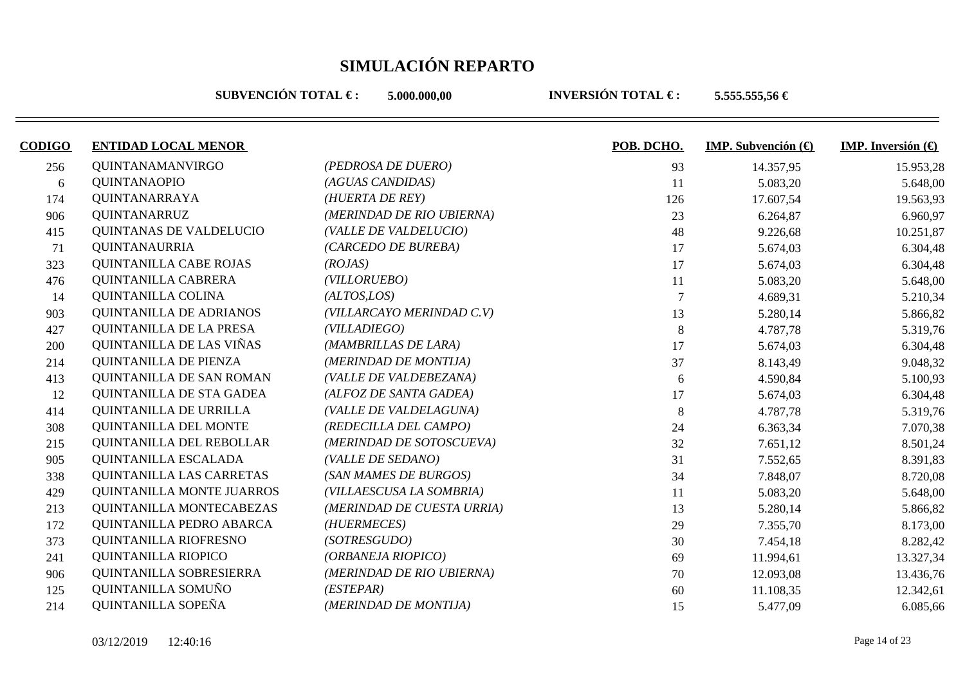**SUBVENCIÓN TOTAL €: 5.000.000.00** 

| <b>CODIGO</b> | <b>ENTIDAD LOCAL MENOR</b>    |                            | POB. DCHO. | <b>IMP.</b> Subvención $(\Theta)$ | IMP. Inversión $\left(\bigoplus\right)$ |
|---------------|-------------------------------|----------------------------|------------|-----------------------------------|-----------------------------------------|
| 256           | <b>QUINTANAMANVIRGO</b>       | (PEDROSA DE DUERO)         | 93         | 14.357,95                         | 15.953,28                               |
| 6             | <b>QUINTANAOPIO</b>           | (AGUAS CANDIDAS)           | 11         | 5.083,20                          | 5.648,00                                |
| 174           | QUINTANARRAYA                 | (HUERTA DE REY)            | 126        | 17.607,54                         | 19.563,93                               |
| 906           | <b>QUINTANARRUZ</b>           | (MERINDAD DE RIO UBIERNA)  | 23         | 6.264,87                          | 6.960,97                                |
| 415           | QUINTANAS DE VALDELUCIO       | (VALLE DE VALDELUCIO)      | 48         | 9.226,68                          | 10.251,87                               |
| 71            | <b>QUINTANAURRIA</b>          | (CARCEDO DE BUREBA)        | 17         | 5.674,03                          | 6.304,48                                |
| 323           | <b>QUINTANILLA CABE ROJAS</b> | (ROJAS)                    | 17         | 5.674,03                          | 6.304,48                                |
| 476           | QUINTANILLA CABRERA           | (VILLORUEBO)               | 11         | 5.083,20                          | 5.648,00                                |
| 14            | QUINTANILLA COLINA            | (ALTOS, LOS)               |            | 4.689,31                          | 5.210,34                                |
| 903           | QUINTANILLA DE ADRIANOS       | (VILLARCAYO MERINDAD C.V)  | 13         | 5.280,14                          | 5.866,82                                |
| 427           | QUINTANILLA DE LA PRESA       | (VILLADIEGO)               | 8          | 4.787,78                          | 5.319,76                                |
| 200           | QUINTANILLA DE LAS VIÑAS      | (MAMBRILLAS DE LARA)       | 17         | 5.674,03                          | 6.304,48                                |
| 214           | <b>QUINTANILLA DE PIENZA</b>  | (MERINDAD DE MONTIJA)      | 37         | 8.143,49                          | 9.048,32                                |
| 413           | QUINTANILLA DE SAN ROMAN      | (VALLE DE VALDEBEZANA)     | 6          | 4.590,84                          | 5.100,93                                |
| 12            | QUINTANILLA DE STA GADEA      | (ALFOZ DE SANTA GADEA)     | 17         | 5.674,03                          | 6.304,48                                |
| 414           | QUINTANILLA DE URRILLA        | (VALLE DE VALDELAGUNA)     | 8          | 4.787,78                          | 5.319,76                                |
| 308           | QUINTANILLA DEL MONTE         | (REDECILLA DEL CAMPO)      | 24         | 6.363,34                          | 7.070,38                                |
| 215           | QUINTANILLA DEL REBOLLAR      | (MERINDAD DE SOTOSCUEVA)   | 32         | 7.651,12                          | 8.501,24                                |
| 905           | QUINTANILLA ESCALADA          | (VALLE DE SEDANO)          | 31         | 7.552,65                          | 8.391,83                                |
| 338           | QUINTANILLA LAS CARRETAS      | (SAN MAMES DE BURGOS)      | 34         | 7.848,07                          | 8.720,08                                |
| 429           | QUINTANILLA MONTE JUARROS     | (VILLAESCUSA LA SOMBRIA)   | 11         | 5.083,20                          | 5.648,00                                |
| 213           | QUINTANILLA MONTECABEZAS      | (MERINDAD DE CUESTA URRIA) | 13         | 5.280,14                          | 5.866,82                                |
| 172           | QUINTANILLA PEDRO ABARCA      | (HUERMECES)                | 29         | 7.355,70                          | 8.173,00                                |
| 373           | QUINTANILLA RIOFRESNO         | (SOTRESGUDO)               | 30         | 7.454,18                          | 8.282,42                                |
| 241           | <b>QUINTANILLA RIOPICO</b>    | (ORBANEJA RIOPICO)         | 69         | 11.994,61                         | 13.327,34                               |
| 906           | QUINTANILLA SOBRESIERRA       | (MERINDAD DE RIO UBIERNA)  | 70         | 12.093,08                         | 13.436,76                               |
| 125           | QUINTANILLA SOMUÑO            | (ESTEPAR)                  | 60         | 11.108,35                         | 12.342,61                               |
| 214           | QUINTANILLA SOPEÑA            | (MERINDAD DE MONTIJA)      | 15         | 5.477,09                          | 6.085,66                                |
|               |                               |                            |            |                                   |                                         |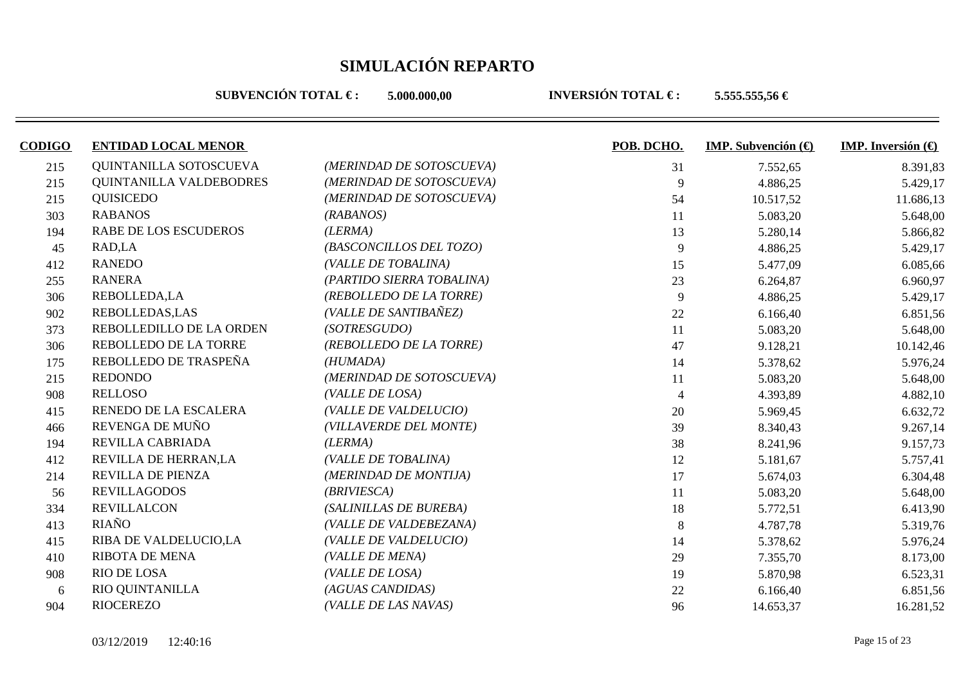**SUBVENCIÓN TOTAL €: 5.000.000.00** 

| <b>CODIGO</b> | <b>ENTIDAD LOCAL MENOR</b> |                           | POB. DCHO.     | <b>IMP.</b> Subvención $\left(\bigoplus$ | <b>IMP.</b> Inversión $\left(\bigoplus$ |
|---------------|----------------------------|---------------------------|----------------|------------------------------------------|-----------------------------------------|
| 215           | QUINTANILLA SOTOSCUEVA     | (MERINDAD DE SOTOSCUEVA)  | 31             | 7.552,65                                 | 8.391,83                                |
| 215           | QUINTANILLA VALDEBODRES    | (MERINDAD DE SOTOSCUEVA)  | 9              | 4.886,25                                 | 5.429,17                                |
| 215           | <b>QUISICEDO</b>           | (MERINDAD DE SOTOSCUEVA)  | 54             | 10.517,52                                | 11.686,13                               |
| 303           | <b>RABANOS</b>             | (RABANOS)                 | 11             | 5.083,20                                 | 5.648,00                                |
| 194           | RABE DE LOS ESCUDEROS      | (LERMA)                   | 13             | 5.280,14                                 | 5.866,82                                |
| 45            | RAD,LA                     | (BASCONCILLOS DEL TOZO)   | 9              | 4.886,25                                 | 5.429,17                                |
| 412           | <b>RANEDO</b>              | (VALLE DE TOBALINA)       | 15             | 5.477,09                                 | 6.085,66                                |
| 255           | <b>RANERA</b>              | (PARTIDO SIERRA TOBALINA) | 23             | 6.264,87                                 | 6.960,97                                |
| 306           | REBOLLEDA,LA               | (REBOLLEDO DE LA TORRE)   | 9              | 4.886,25                                 | 5.429,17                                |
| 902           | <b>REBOLLEDAS,LAS</b>      | (VALLE DE SANTIBAÑEZ)     | 22             | 6.166,40                                 | 6.851,56                                |
| 373           | REBOLLEDILLO DE LA ORDEN   | (SOTRESGUDO)              | 11             | 5.083,20                                 | 5.648,00                                |
| 306           | REBOLLEDO DE LA TORRE      | (REBOLLEDO DE LA TORRE)   | 47             | 9.128,21                                 | 10.142,46                               |
| 175           | REBOLLEDO DE TRASPEÑA      | (HUMADA)                  | 14             | 5.378,62                                 | 5.976,24                                |
| 215           | <b>REDONDO</b>             | (MERINDAD DE SOTOSCUEVA)  | 11             | 5.083,20                                 | 5.648,00                                |
| 908           | <b>RELLOSO</b>             | (VALLE DE LOSA)           | $\overline{4}$ | 4.393,89                                 | 4.882,10                                |
| 415           | RENEDO DE LA ESCALERA      | (VALLE DE VALDELUCIO)     | 20             | 5.969,45                                 | 6.632,72                                |
| 466           | REVENGA DE MUÑO            | (VILLAVERDE DEL MONTE)    | 39             | 8.340,43                                 | 9.267,14                                |
| 194           | REVILLA CABRIADA           | (LERMA)                   | 38             | 8.241,96                                 | 9.157,73                                |
| 412           | REVILLA DE HERRAN,LA       | (VALLE DE TOBALINA)       | 12             | 5.181,67                                 | 5.757,41                                |
| 214           | REVILLA DE PIENZA          | (MERINDAD DE MONTIJA)     | 17             | 5.674,03                                 | 6.304,48                                |
| 56            | <b>REVILLAGODOS</b>        | (BRIVIESCA)               | 11             | 5.083,20                                 | 5.648,00                                |
| 334           | <b>REVILLALCON</b>         | (SALINILLAS DE BUREBA)    | 18             | 5.772,51                                 | 6.413,90                                |
| 413           | RIAÑO                      | (VALLE DE VALDEBEZANA)    | 8              | 4.787,78                                 | 5.319,76                                |
| 415           | RIBA DE VALDELUCIO,LA      | (VALLE DE VALDELUCIO)     | 14             | 5.378,62                                 | 5.976,24                                |
| 410           | <b>RIBOTA DE MENA</b>      | (VALLE DE MENA)           | 29             | 7.355,70                                 | 8.173,00                                |
| 908           | RIO DE LOSA                | (VALLE DE LOSA)           | 19             | 5.870,98                                 | 6.523,31                                |
| 6             | RIO QUINTANILLA            | (AGUAS CANDIDAS)          | 22             | 6.166,40                                 | 6.851,56                                |
| 904           | <b>RIOCEREZO</b>           | (VALLE DE LAS NAVAS)      | 96             | 14.653,37                                | 16.281,52                               |
|               |                            |                           |                |                                          |                                         |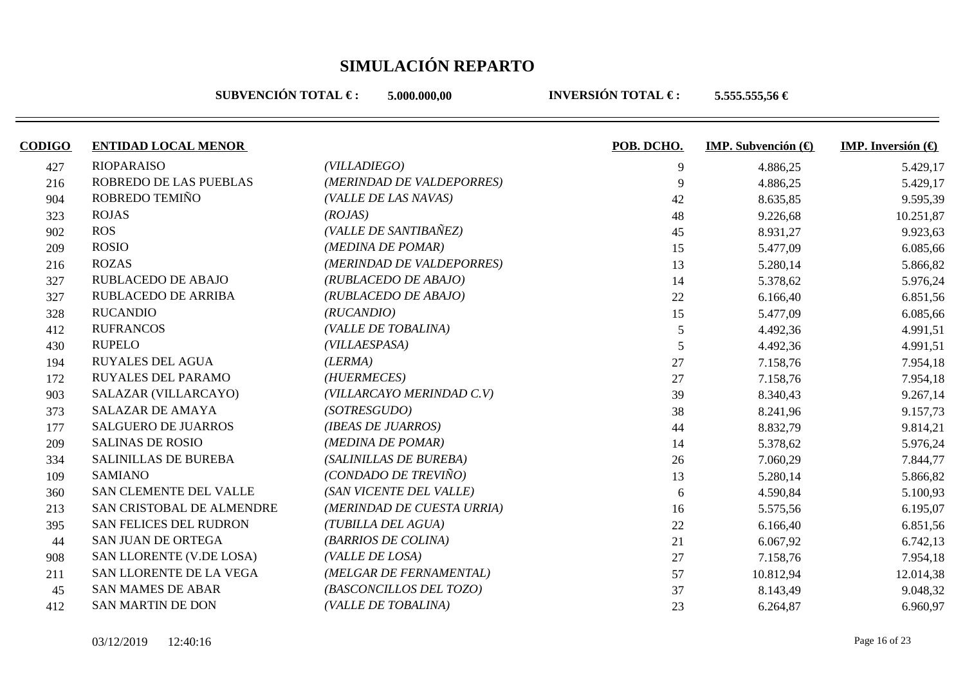**SUBVENCIÓN TOTAL €: 5.000.000.00** 

| <b>CODIGO</b> | <b>ENTIDAD LOCAL MENOR</b>  |                            | POB. DCHO.     | <b>IMP.</b> Subvención $\left(\bigoplus$ | IMP. Inversión (€ |
|---------------|-----------------------------|----------------------------|----------------|------------------------------------------|-------------------|
| 427           | <b>RIOPARAISO</b>           | (VILLADIEGO)               | 9              | 4.886,25                                 | 5.429,17          |
| 216           | ROBREDO DE LAS PUEBLAS      | (MERINDAD DE VALDEPORRES)  | 9              | 4.886,25                                 | 5.429,17          |
| 904           | ROBREDO TEMIÑO              | (VALLE DE LAS NAVAS)       | 42             | 8.635,85                                 | 9.595,39          |
| 323           | <b>ROJAS</b>                | (ROJAS)                    | 48             | 9.226,68                                 | 10.251,87         |
| 902           | <b>ROS</b>                  | (VALLE DE SANTIBAÑEZ)      | 45             | 8.931,27                                 | 9.923,63          |
| 209           | <b>ROSIO</b>                | (MEDINA DE POMAR)          | 15             | 5.477,09                                 | 6.085,66          |
| 216           | <b>ROZAS</b>                | (MERINDAD DE VALDEPORRES)  | 13             | 5.280,14                                 | 5.866,82          |
| 327           | <b>RUBLACEDO DE ABAJO</b>   | (RUBLACEDO DE ABAJO)       | 14             | 5.378,62                                 | 5.976,24          |
| 327           | RUBLACEDO DE ARRIBA         | (RUBLACEDO DE ABAJO)       | 22             | 6.166,40                                 | 6.851,56          |
| 328           | <b>RUCANDIO</b>             | (RUCANDIO)                 | 15             | 5.477,09                                 | 6.085,66          |
| 412           | <b>RUFRANCOS</b>            | (VALLE DE TOBALINA)        | $\overline{5}$ | 4.492,36                                 | 4.991,51          |
| 430           | <b>RUPELO</b>               | (VILLAESPASA)              | 5              | 4.492,36                                 | 4.991,51          |
| 194           | <b>RUYALES DEL AGUA</b>     | (LERMA)                    | 27             | 7.158,76                                 | 7.954,18          |
| 172           | <b>RUYALES DEL PARAMO</b>   | (HUERMECES)                | 27             | 7.158,76                                 | 7.954,18          |
| 903           | SALAZAR (VILLARCAYO)        | (VILLARCAYO MERINDAD C.V)  | 39             | 8.340,43                                 | 9.267,14          |
| 373           | <b>SALAZAR DE AMAYA</b>     | (SOTRESGUDO)               | 38             | 8.241,96                                 | 9.157,73          |
| 177           | <b>SALGUERO DE JUARROS</b>  | (IBEAS DE JUARROS)         | 44             | 8.832,79                                 | 9.814,21          |
| 209           | <b>SALINAS DE ROSIO</b>     | (MEDINA DE POMAR)          | 14             | 5.378,62                                 | 5.976,24          |
| 334           | <b>SALINILLAS DE BUREBA</b> | (SALINILLAS DE BUREBA)     | 26             | 7.060,29                                 | 7.844,77          |
| 109           | <b>SAMIANO</b>              | (CONDADO DE TREVIÑO)       | 13             | 5.280,14                                 | 5.866,82          |
| 360           | SAN CLEMENTE DEL VALLE      | (SAN VICENTE DEL VALLE)    | 6              | 4.590,84                                 | 5.100,93          |
| 213           | SAN CRISTOBAL DE ALMENDRE   | (MERINDAD DE CUESTA URRIA) | 16             | 5.575,56                                 | 6.195,07          |
| 395           | SAN FELICES DEL RUDRON      | (TUBILLA DEL AGUA)         | 22             | 6.166,40                                 | 6.851,56          |
| 44            | <b>SAN JUAN DE ORTEGA</b>   | (BARRIOS DE COLINA)        | 21             | 6.067,92                                 | 6.742,13          |
| 908           | SAN LLORENTE (V.DE LOSA)    | (VALLE DE LOSA)            | 27             | 7.158,76                                 | 7.954,18          |
| 211           | SAN LLORENTE DE LA VEGA     | (MELGAR DE FERNAMENTAL)    | 57             | 10.812,94                                | 12.014,38         |
| 45            | <b>SAN MAMES DE ABAR</b>    | (BASCONCILLOS DEL TOZO)    | 37             | 8.143,49                                 | 9.048,32          |
| 412           | <b>SAN MARTIN DE DON</b>    | (VALLE DE TOBALINA)        | 23             | 6.264,87                                 | 6.960,97          |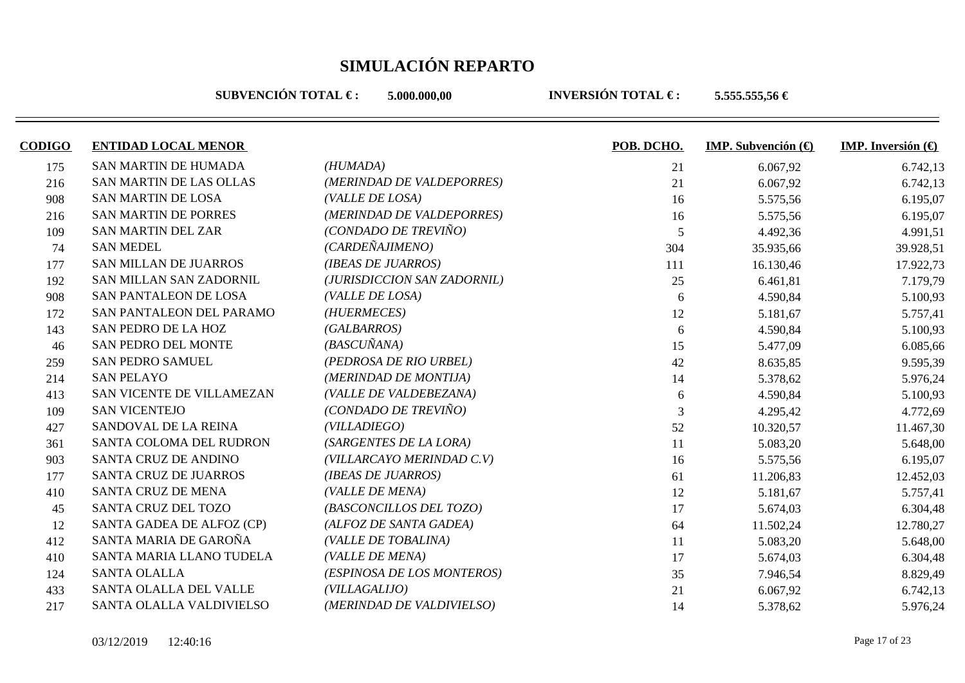**SUBVENCIÓN TOTAL €: 5.000.000.00** 

| <b>CODIGO</b> | <b>ENTIDAD LOCAL MENOR</b>     |                             | POB. DCHO.     | <b>IMP.</b> Subvención $(\theta)$ | <b>IMP.</b> Inversión $\bigoplus$ |
|---------------|--------------------------------|-----------------------------|----------------|-----------------------------------|-----------------------------------|
| 175           | <b>SAN MARTIN DE HUMADA</b>    | (HUMADA)                    | 21             | 6.067,92                          | 6.742,13                          |
| 216           | <b>SAN MARTIN DE LAS OLLAS</b> | (MERINDAD DE VALDEPORRES)   | 21             | 6.067,92                          | 6.742,13                          |
| 908           | <b>SAN MARTIN DE LOSA</b>      | (VALLE DE LOSA)             | 16             | 5.575,56                          | 6.195,07                          |
| 216           | <b>SAN MARTIN DE PORRES</b>    | (MERINDAD DE VALDEPORRES)   | 16             | 5.575,56                          | 6.195,07                          |
| 109           | <b>SAN MARTIN DEL ZAR</b>      | (CONDADO DE TREVIÑO)        | 5              | 4.492,36                          | 4.991,51                          |
| 74            | <b>SAN MEDEL</b>               | (CARDEÑAJIMENO)             | 304            | 35.935,66                         | 39.928,51                         |
| 177           | <b>SAN MILLAN DE JUARROS</b>   | (IBEAS DE JUARROS)          | 111            | 16.130,46                         | 17.922,73                         |
| 192           | SAN MILLAN SAN ZADORNIL        | (JURISDICCION SAN ZADORNIL) | 25             | 6.461,81                          | 7.179,79                          |
| 908           | SAN PANTALEON DE LOSA          | (VALLE DE LOSA)             | 6              | 4.590,84                          | 5.100,93                          |
| 172           | SAN PANTALEON DEL PARAMO       | (HUERMECES)                 | 12             | 5.181,67                          | 5.757,41                          |
| 143           | SAN PEDRO DE LA HOZ            | (GALBARROS)                 | 6              | 4.590,84                          | 5.100,93                          |
| 46            | <b>SAN PEDRO DEL MONTE</b>     | (BASCUÑANA)                 | 15             | 5.477,09                          | 6.085,66                          |
| 259           | <b>SAN PEDRO SAMUEL</b>        | (PEDROSA DE RIO URBEL)      | 42             | 8.635,85                          | 9.595,39                          |
| 214           | <b>SAN PELAYO</b>              | (MERINDAD DE MONTIJA)       | 14             | 5.378,62                          | 5.976,24                          |
| 413           | SAN VICENTE DE VILLAMEZAN      | (VALLE DE VALDEBEZANA)      | 6              | 4.590,84                          | 5.100,93                          |
| 109           | <b>SAN VICENTEJO</b>           | (CONDADO DE TREVIÑO)        | $\overline{3}$ | 4.295,42                          | 4.772,69                          |
| 427           | SANDOVAL DE LA REINA           | (VILLADIEGO)                | 52             | 10.320,57                         | 11.467,30                         |
| 361           | SANTA COLOMA DEL RUDRON        | (SARGENTES DE LA LORA)      | 11             | 5.083,20                          | 5.648,00                          |
| 903           | SANTA CRUZ DE ANDINO           | (VILLARCAYO MERINDAD C.V)   | 16             | 5.575,56                          | 6.195,07                          |
| 177           | SANTA CRUZ DE JUARROS          | (IBEAS DE JUARROS)          | 61             | 11.206,83                         | 12.452,03                         |
| 410           | SANTA CRUZ DE MENA             | (VALLE DE MENA)             | 12             | 5.181,67                          | 5.757,41                          |
| 45            | SANTA CRUZ DEL TOZO            | (BASCONCILLOS DEL TOZO)     | 17             | 5.674,03                          | 6.304,48                          |
| 12            | SANTA GADEA DE ALFOZ (CP)      | (ALFOZ DE SANTA GADEA)      | 64             | 11.502,24                         | 12.780,27                         |
| 412           | SANTA MARIA DE GAROÑA          | (VALLE DE TOBALINA)         | 11             | 5.083,20                          | 5.648,00                          |
| 410           | SANTA MARIA LLANO TUDELA       | (VALLE DE MENA)             | 17             | 5.674,03                          | 6.304,48                          |
| 124           | <b>SANTA OLALLA</b>            | (ESPINOSA DE LOS MONTEROS)  | 35             | 7.946,54                          | 8.829,49                          |
| 433           | SANTA OLALLA DEL VALLE         | (VILLAGALIJO)               | 21             | 6.067,92                          | 6.742,13                          |
| 217           | SANTA OLALLA VALDIVIELSO       | (MERINDAD DE VALDIVIELSO)   | 14             | 5.378,62                          | 5.976,24                          |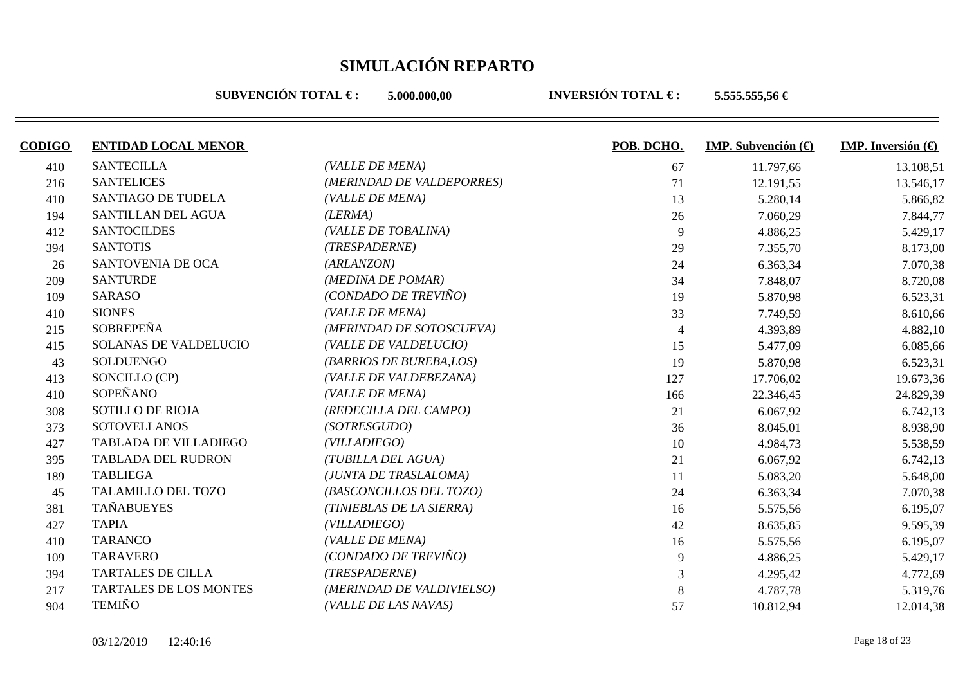**SUBVENCIÓN TOTAL €: 5.000.000.00** 

| <b>CODIGO</b> | <b>ENTIDAD LOCAL MENOR</b>    |                           | POB. DCHO.     | <b>IMP.</b> Subvención $(\theta)$ | <b>IMP.</b> Inversión $\bigoplus$ |
|---------------|-------------------------------|---------------------------|----------------|-----------------------------------|-----------------------------------|
| 410           | <b>SANTECILLA</b>             | (VALLE DE MENA)           | 67             | 11.797,66                         | 13.108,51                         |
| 216           | <b>SANTELICES</b>             | (MERINDAD DE VALDEPORRES) | 71             | 12.191,55                         | 13.546,17                         |
| 410           | <b>SANTIAGO DE TUDELA</b>     | (VALLE DE MENA)           | 13             | 5.280,14                          | 5.866,82                          |
| 194           | SANTILLAN DEL AGUA            | (LERMA)                   | 26             | 7.060,29                          | 7.844,77                          |
| 412           | <b>SANTOCILDES</b>            | (VALLE DE TOBALINA)       | 9              | 4.886,25                          | 5.429,17                          |
| 394           | <b>SANTOTIS</b>               | (TRESPADERNE)             | 29             | 7.355,70                          | 8.173,00                          |
| 26            | SANTOVENIA DE OCA             | (ARLANZON)                | 24             | 6.363,34                          | 7.070,38                          |
| 209           | <b>SANTURDE</b>               | (MEDINA DE POMAR)         | 34             | 7.848,07                          | 8.720,08                          |
| 109           | <b>SARASO</b>                 | (CONDADO DE TREVIÑO)      | 19             | 5.870,98                          | 6.523,31                          |
| 410           | <b>SIONES</b>                 | (VALLE DE MENA)           | 33             | 7.749,59                          | 8.610,66                          |
| 215           | <b>SOBREPEÑA</b>              | (MERINDAD DE SOTOSCUEVA)  | $\overline{4}$ | 4.393,89                          | 4.882,10                          |
| 415           | <b>SOLANAS DE VALDELUCIO</b>  | (VALLE DE VALDELUCIO)     | 15             | 5.477,09                          | 6.085,66                          |
| 43            | SOLDUENGO                     | (BARRIOS DE BUREBA,LOS)   | 19             | 5.870,98                          | 6.523,31                          |
| 413           | SONCILLO (CP)                 | (VALLE DE VALDEBEZANA)    | 127            | 17.706,02                         | 19.673,36                         |
| 410           | SOPEÑANO                      | (VALLE DE MENA)           | 166            | 22.346,45                         | 24.829,39                         |
| 308           | <b>SOTILLO DE RIOJA</b>       | (REDECILLA DEL CAMPO)     | 21             | 6.067,92                          | 6.742,13                          |
| 373           | <b>SOTOVELLANOS</b>           | (SOTRESGUDO)              | 36             | 8.045,01                          | 8.938,90                          |
| 427           | <b>TABLADA DE VILLADIEGO</b>  | (VILL A DIEGO)            | 10             | 4.984,73                          | 5.538,59                          |
| 395           | TABLADA DEL RUDRON            | (TUBILLA DEL AGUA)        | 21             | 6.067,92                          | 6.742,13                          |
| 189           | <b>TABLIEGA</b>               | (JUNTA DE TRASLALOMA)     | 11             | 5.083,20                          | 5.648,00                          |
| 45            | TALAMILLO DEL TOZO            | (BASCONCILLOS DEL TOZO)   | 24             | 6.363,34                          | 7.070,38                          |
| 381           | <b>TAÑABUEYES</b>             | (TINIEBLAS DE LA SIERRA)  | 16             | 5.575,56                          | 6.195,07                          |
| 427           | <b>TAPIA</b>                  | (VILL A DIEGO)            | 42             | 8.635,85                          | 9.595,39                          |
| 410           | <b>TARANCO</b>                | (VALLE DE MENA)           | 16             | 5.575,56                          | 6.195,07                          |
| 109           | <b>TARAVERO</b>               | (CONDADO DE TREVIÑO)      | 9              | 4.886,25                          | 5.429,17                          |
| 394           | <b>TARTALES DE CILLA</b>      | (TRESPADERNE)             | 3              | 4.295,42                          | 4.772,69                          |
| 217           | <b>TARTALES DE LOS MONTES</b> | (MERINDAD DE VALDIVIELSO) | 8              | 4.787,78                          | 5.319,76                          |
| 904           | <b>TEMIÑO</b>                 | (VALLE DE LAS NAVAS)      | 57             | 10.812,94                         | 12.014,38                         |
|               |                               |                           |                |                                   |                                   |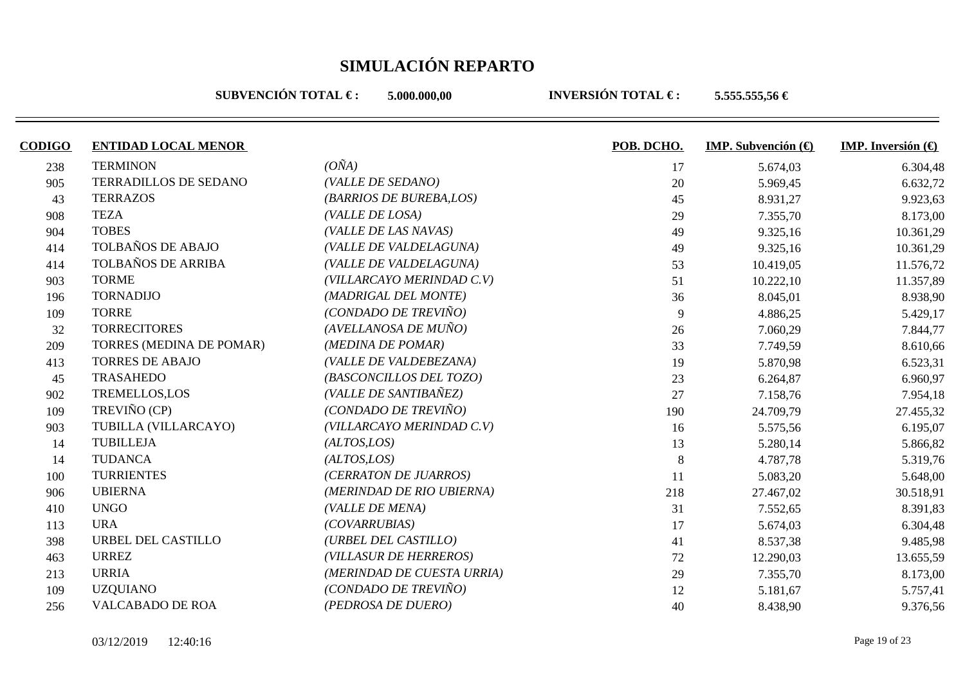**SUBVENCIÓN TOTAL €: 5.000.000.00** 

| <b>CODIGO</b> | <b>ENTIDAD LOCAL MENOR</b> |                            | POB. DCHO. | <b>IMP.</b> Subvención $(\theta)$ | <b>IMP.</b> Inversión $\left(\bigoplus$ |
|---------------|----------------------------|----------------------------|------------|-----------------------------------|-----------------------------------------|
| 238           | <b>TERMINON</b>            | $(O\tilde{N}A)$            | 17         | 5.674,03                          | 6.304,48                                |
| 905           | TERRADILLOS DE SEDANO      | (VALLE DE SEDANO)          | 20         | 5.969,45                          | 6.632,72                                |
| 43            | <b>TERRAZOS</b>            | (BARRIOS DE BUREBA,LOS)    | 45         | 8.931,27                          | 9.923,63                                |
| 908           | <b>TEZA</b>                | (VALLE DE LOSA)            | 29         | 7.355,70                          | 8.173,00                                |
| 904           | <b>TOBES</b>               | (VALLE DE LAS NAVAS)       | 49         | 9.325,16                          | 10.361,29                               |
| 414           | TOLBAÑOS DE ABAJO          | (VALLE DE VALDELAGUNA)     | 49         | 9.325,16                          | 10.361,29                               |
| 414           | TOLBAÑOS DE ARRIBA         | (VALLE DE VALDELAGUNA)     | 53         | 10.419,05                         | 11.576,72                               |
| 903           | <b>TORME</b>               | (VILLARCAYO MERINDAD C.V)  | 51         | 10.222,10                         | 11.357,89                               |
| 196           | <b>TORNADIJO</b>           | (MADRIGAL DEL MONTE)       | 36         | 8.045,01                          | 8.938,90                                |
| 109           | <b>TORRE</b>               | (CONDADO DE TREVIÑO)       | 9          | 4.886,25                          | 5.429,17                                |
| 32            | <b>TORRECITORES</b>        | (AVELLANOSA DE MUÑO)       | 26         | 7.060,29                          | 7.844,77                                |
| 209           | TORRES (MEDINA DE POMAR)   | (MEDINA DE POMAR)          | 33         | 7.749,59                          | 8.610,66                                |
| 413           | <b>TORRES DE ABAJO</b>     | (VALLE DE VALDEBEZANA)     | 19         | 5.870,98                          | 6.523,31                                |
| 45            | <b>TRASAHEDO</b>           | (BASCONCILLOS DEL TOZO)    | 23         | 6.264,87                          | 6.960,97                                |
| 902           | <b>TREMELLOS,LOS</b>       | (VALLE DE SANTIBAÑEZ)      | 27         | 7.158,76                          | 7.954,18                                |
| 109           | TREVIÑO (CP)               | (CONDADO DE TREVIÑO)       | 190        | 24.709,79                         | 27.455,32                               |
| 903           | TUBILLA (VILLARCAYO)       | (VILLARCAYO MERINDAD C.V)  | 16         | 5.575,56                          | 6.195,07                                |
| 14            | <b>TUBILLEJA</b>           | (ALTOS,LOS)                | 13         | 5.280,14                          | 5.866,82                                |
| 14            | <b>TUDANCA</b>             | (ALTOS, LOS)               | 8          | 4.787,78                          | 5.319,76                                |
| 100           | <b>TURRIENTES</b>          | (CERRATON DE JUARROS)      | 11         | 5.083,20                          | 5.648,00                                |
| 906           | <b>UBIERNA</b>             | (MERINDAD DE RIO UBIERNA)  | 218        | 27.467,02                         | 30.518,91                               |
| 410           | <b>UNGO</b>                | (VALLE DE MENA)            | 31         | 7.552,65                          | 8.391,83                                |
| 113           | <b>URA</b>                 | (COVARRUBIAS)              | 17         | 5.674,03                          | 6.304,48                                |
| 398           | URBEL DEL CASTILLO         | (URBEL DEL CASTILLO)       | 41         | 8.537,38                          | 9.485,98                                |
| 463           | <b>URREZ</b>               | (VILLASUR DE HERREROS)     | 72         | 12.290,03                         | 13.655,59                               |
| 213           | <b>URRIA</b>               | (MERINDAD DE CUESTA URRIA) | 29         | 7.355,70                          | 8.173,00                                |
| 109           | <b>UZQUIANO</b>            | (CONDADO DE TREVIÑO)       | 12         | 5.181,67                          | 5.757,41                                |
| 256           | <b>VALCABADO DE ROA</b>    | (PEDROSA DE DUERO)         | 40         | 8.438,90                          | 9.376,56                                |
|               |                            |                            |            |                                   |                                         |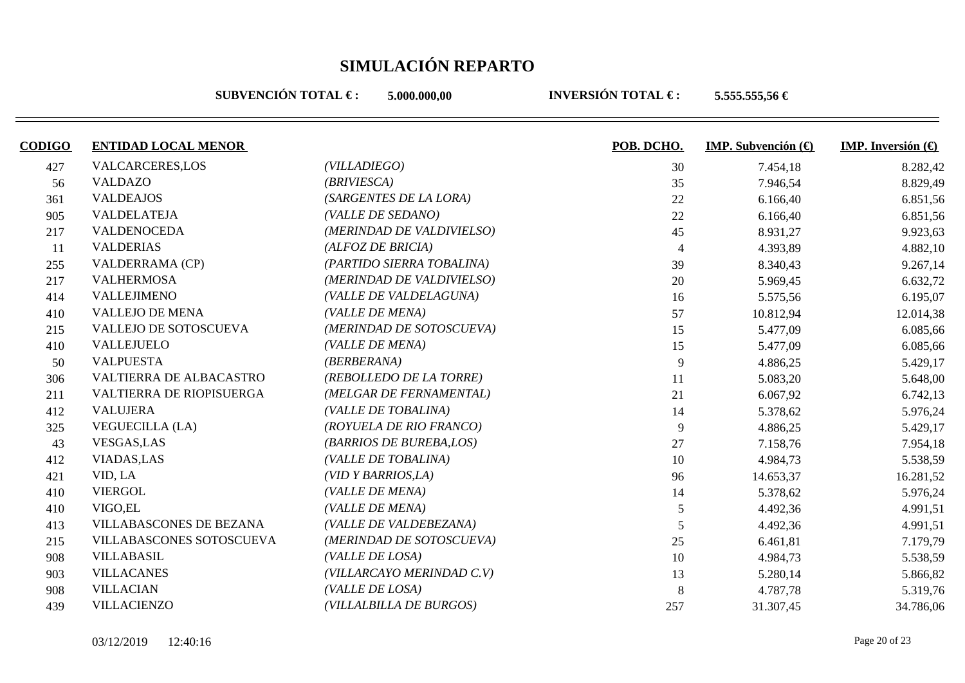**SUBVENCIÓN TOTAL €: 5.000.000.00** 

| <b>ENTIDAD LOCAL MENOR</b>     |                           | POB. DCHO. | <b>IMP.</b> Subvención $\left(\bigoplus$ | <b>IMP.</b> Inversión $\left(\bigoplus$ |
|--------------------------------|---------------------------|------------|------------------------------------------|-----------------------------------------|
| <b>VALCARCERES,LOS</b>         | (VILLADIEGO)              | 30         | 7.454,18                                 | 8.282,42                                |
| <b>VALDAZO</b>                 | (BRIVIESCA)               | 35         | 7.946,54                                 | 8.829,49                                |
| <b>VALDEAJOS</b>               | (SARGENTES DE LA LORA)    | 22         | 6.166,40                                 | 6.851,56                                |
| <b>VALDELATEJA</b>             | (VALLE DE SEDANO)         | 22         | 6.166,40                                 | 6.851,56                                |
| <b>VALDENOCEDA</b>             | (MERINDAD DE VALDIVIELSO) | 45         | 8.931,27                                 | 9.923,63                                |
| <b>VALDERIAS</b>               | (ALFOZ DE BRICIA)         |            | 4.393,89                                 | 4.882,10                                |
| <b>VALDERRAMA (CP)</b>         | (PARTIDO SIERRA TOBALINA) | 39         | 8.340,43                                 | 9.267,14                                |
| <b>VALHERMOSA</b>              | (MERINDAD DE VALDIVIELSO) | 20         | 5.969,45                                 | 6.632,72                                |
| <b>VALLEJIMENO</b>             | (VALLE DE VALDELAGUNA)    | 16         | 5.575,56                                 | 6.195,07                                |
| <b>VALLEJO DE MENA</b>         | (VALLE DE MENA)           | 57         | 10.812,94                                | 12.014,38                               |
| VALLEJO DE SOTOSCUEVA          | (MERINDAD DE SOTOSCUEVA)  | 15         | 5.477,09                                 | 6.085,66                                |
| <b>VALLEJUELO</b>              | (VALLE DE MENA)           | 15         | 5.477,09                                 | 6.085,66                                |
| <b>VALPUESTA</b>               | (BERBERANA)               | 9          | 4.886,25                                 | 5.429,17                                |
| VALTIERRA DE ALBACASTRO        | (REBOLLEDO DE LA TORRE)   | 11         | 5.083,20                                 | 5.648,00                                |
| VALTIERRA DE RIOPISUERGA       | (MELGAR DE FERNAMENTAL)   | 21         | 6.067,92                                 | 6.742,13                                |
| <b>VALUJERA</b>                | (VALLE DE TOBALINA)       | 14         | 5.378,62                                 | 5.976,24                                |
| <b>VEGUECILLA (LA)</b>         | (ROYUELA DE RIO FRANCO)   | 9          | 4.886,25                                 | 5.429,17                                |
| VESGAS, LAS                    | (BARRIOS DE BUREBA,LOS)   | 27         | 7.158,76                                 | 7.954,18                                |
| <b>VIADAS,LAS</b>              | (VALLE DE TOBALINA)       | 10         | 4.984,73                                 | 5.538,59                                |
| VID, LA                        | (VID Y BARRIOS, LA)       | 96         | 14.653,37                                | 16.281,52                               |
| <b>VIERGOL</b>                 | (VALLE DE MENA)           | 14         | 5.378,62                                 | 5.976,24                                |
| VIGO, EL                       | (VALLE DE MENA)           | 5          | 4.492,36                                 | 4.991,51                                |
| <b>VILLABASCONES DE BEZANA</b> | (VALLE DE VALDEBEZANA)    | 5          | 4.492,36                                 | 4.991,51                                |
| VILLABASCONES SOTOSCUEVA       | (MERINDAD DE SOTOSCUEVA)  | 25         | 6.461,81                                 | 7.179,79                                |
| <b>VILLABASIL</b>              | (VALLE DE LOSA)           | 10         | 4.984,73                                 | 5.538,59                                |
| <b>VILLACANES</b>              | (VILLARCAYO MERINDAD C.V) | 13         | 5.280,14                                 | 5.866,82                                |
| <b>VILLACIAN</b>               | (VALLE DE LOSA)           | 8          | 4.787,78                                 | 5.319,76                                |
| <b>VILLACIENZO</b>             | (VILLALBILLA DE BURGOS)   | 257        | 31.307,45                                | 34.786,06                               |
|                                |                           |            |                                          |                                         |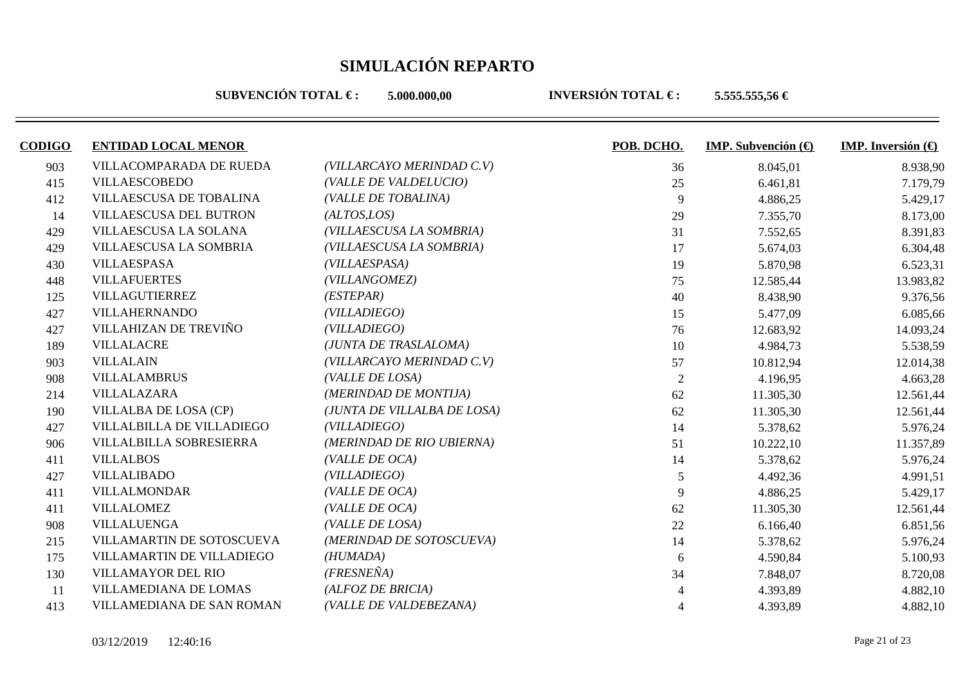**SUBVENCIÓN TOTAL €: 5.000.000.00** 

| <b>CODIGO</b> | <b>ENTIDAD LOCAL MENOR</b> |                             | POB. DCHO.     | <b>IMP.</b> Subvención $\left(\bigoplus$ | <b>IMP.</b> Inversión $\bigoplus$ |
|---------------|----------------------------|-----------------------------|----------------|------------------------------------------|-----------------------------------|
| 903           | VILLACOMPARADA DE RUEDA    | (VILLARCAYO MERINDAD C.V)   | 36             | 8.045,01                                 | 8.938,90                          |
| 415           | <b>VILLAESCOBEDO</b>       | (VALLE DE VALDELUCIO)       | 25             | 6.461,81                                 | 7.179,79                          |
| 412           | VILLAESCUSA DE TOBALINA    | (VALLE DE TOBALINA)         | 9              | 4.886,25                                 | 5.429,17                          |
| 14            | VILLAESCUSA DEL BUTRON     | (ALTOS, LOS)                | 29             | 7.355,70                                 | 8.173,00                          |
| 429           | VILLAESCUSA LA SOLANA      | (VILLAESCUSA LA SOMBRIA)    | 31             | 7.552,65                                 | 8.391,83                          |
| 429           | VILLAESCUSA LA SOMBRIA     | (VILLAESCUSA LA SOMBRIA)    | 17             | 5.674,03                                 | 6.304,48                          |
| 430           | <b>VILLAESPASA</b>         | (VILLAESPASA)               | 19             | 5.870,98                                 | 6.523,31                          |
| 448           | <b>VILLAFUERTES</b>        | (VILLANGOMEZ)               | 75             | 12.585,44                                | 13.983,82                         |
| 125           | VILLAGUTIERREZ             | (ESTEPAR)                   | 40             | 8.438,90                                 | 9.376,56                          |
| 427           | <b>VILLAHERNANDO</b>       | (VILLADIEGO)                | 15             | 5.477,09                                 | 6.085,66                          |
| 427           | VILLAHIZAN DE TREVIÑO      | (VILLADIEGO)                | 76             | 12.683,92                                | 14.093,24                         |
| 189           | VILLALACRE                 | (JUNTA DE TRASLALOMA)       | 10             | 4.984,73                                 | 5.538,59                          |
| 903           | <b>VILLALAIN</b>           | (VILLARCAYO MERINDAD C.V)   | 57             | 10.812,94                                | 12.014,38                         |
| 908           | <b>VILLALAMBRUS</b>        | (VALLE DE LOSA)             | $\overline{2}$ | 4.196,95                                 | 4.663,28                          |
| 214           | VILLALAZARA                | (MERINDAD DE MONTIJA)       | 62             | 11.305,30                                | 12.561,44                         |
| 190           | VILLALBA DE LOSA (CP)      | (JUNTA DE VILLALBA DE LOSA) | 62             | 11.305,30                                | 12.561,44                         |
| 427           | VILLALBILLA DE VILLADIEGO  | (VILLADIEGO)                | 14             | 5.378,62                                 | 5.976,24                          |
| 906           | VILLALBILLA SOBRESIERRA    | (MERINDAD DE RIO UBIERNA)   | 51             | 10.222,10                                | 11.357,89                         |
| 411           | <b>VILLALBOS</b>           | (VALLE DE OCA)              | 14             | 5.378,62                                 | 5.976,24                          |
| 427           | <b>VILLALIBADO</b>         | (VILLADIEGO)                | 5              | 4.492,36                                 | 4.991,51                          |
| 411           | <b>VILLALMONDAR</b>        | (VALLE DE OCA)              | 9              | 4.886,25                                 | 5.429,17                          |
| 411           | <b>VILLALOMEZ</b>          | (VALLE DE OCA)              | 62             | 11.305,30                                | 12.561,44                         |
| 908           | <b>VILLALUENGA</b>         | (VALLE DE LOSA)             | 22             | 6.166,40                                 | 6.851,56                          |
| 215           | VILLAMARTIN DE SOTOSCUEVA  | (MERINDAD DE SOTOSCUEVA)    | 14             | 5.378,62                                 | 5.976,24                          |
| 175           | VILLAMARTIN DE VILLADIEGO  | (HUMADA)                    | 6              | 4.590,84                                 | 5.100,93                          |
| 130           | <b>VILLAMAYOR DEL RIO</b>  | $(FRESNE\tilde{N}A)$        | 34             | 7.848,07                                 | 8.720,08                          |
| 11            | VILLAMEDIANA DE LOMAS      | (ALFOZ DE BRICIA)           |                | 4.393,89                                 | 4.882,10                          |
| 413           | VILLAMEDIANA DE SAN ROMAN  | (VALLE DE VALDEBEZANA)      |                | 4.393,89                                 | 4.882,10                          |
|               |                            |                             |                |                                          |                                   |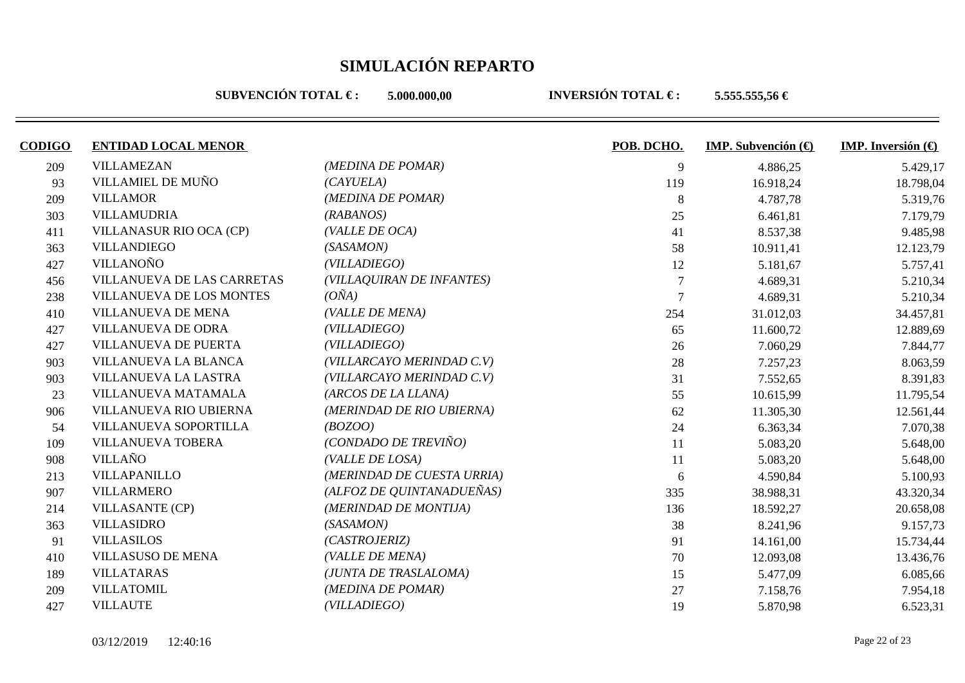**SUBVENCIÓN TOTAL €: 5.000.000.00** 

| <b>CODIGO</b> | <b>ENTIDAD LOCAL MENOR</b> |                            | POB. DCHO. | <b>IMP.</b> Subvención $(\bigoplus$ | <b>IMP.</b> Inversión $\bigoplus$ |
|---------------|----------------------------|----------------------------|------------|-------------------------------------|-----------------------------------|
| 209           | <b>VILLAMEZAN</b>          | (MEDINA DE POMAR)          | 9          | 4.886,25                            | 5.429,17                          |
| 93            | VILLAMIEL DE MUÑO          | (CAYUELA)                  | 119        | 16.918,24                           | 18.798,04                         |
| 209           | <b>VILLAMOR</b>            | (MEDINA DE POMAR)          | 8          | 4.787,78                            | 5.319,76                          |
| 303           | <b>VILLAMUDRIA</b>         | (RABANOS)                  | 25         | 6.461,81                            | 7.179,79                          |
| 411           | VILLANASUR RIO OCA (CP)    | (VALLE DE OCA)             | 41         | 8.537,38                            | 9.485,98                          |
| 363           | <b>VILLANDIEGO</b>         | (SASAMON)                  | 58         | 10.911,41                           | 12.123,79                         |
| 427           | <b>VILLANOÑO</b>           | (VILLADIEGO)               | 12         | 5.181,67                            | 5.757,41                          |
| 456           | VILLANUEVA DE LAS CARRETAS | (VILLAQUIRAN DE INFANTES)  |            | 4.689,31                            | 5.210,34                          |
| 238           | VILLANUEVA DE LOS MONTES   | $(O\tilde{N}A)$            |            | 4.689,31                            | 5.210,34                          |
| 410           | <b>VILLANUEVA DE MENA</b>  | (VALLE DE MENA)            | 254        | 31.012,03                           | 34.457,81                         |
| 427           | <b>VILLANUEVA DE ODRA</b>  | (VILLADIEGO)               | 65         | 11.600,72                           | 12.889,69                         |
| 427           | VILLANUEVA DE PUERTA       | (VILLADIEGO)               | 26         | 7.060,29                            | 7.844,77                          |
| 903           | VILLANUEVA LA BLANCA       | (VILLARCAYO MERINDAD C.V)  | 28         | 7.257,23                            | 8.063,59                          |
| 903           | VILLANUEVA LA LASTRA       | (VILLARCAYO MERINDAD C.V)  | 31         | 7.552,65                            | 8.391,83                          |
| 23            | VILLANUEVA MATAMALA        | (ARCOS DE LA LLANA)        | 55         | 10.615,99                           | 11.795,54                         |
| 906           | VILLANUEVA RIO UBIERNA     | (MERINDAD DE RIO UBIERNA)  | 62         | 11.305,30                           | 12.561,44                         |
| 54            | VILLANUEVA SOPORTILLA      | (BOZOO)                    | 24         | 6.363,34                            | 7.070,38                          |
| 109           | VILLANUEVA TOBERA          | (CONDADO DE TREVIÑO)       | 11         | 5.083,20                            | 5.648,00                          |
| 908           | <b>VILLAÑO</b>             | (VALLE DE LOSA)            | 11         | 5.083,20                            | 5.648,00                          |
| 213           | VILLAPANILLO               | (MERINDAD DE CUESTA URRIA) | 6          | 4.590,84                            | 5.100,93                          |
| 907           | <b>VILLARMERO</b>          | (ALFOZ DE QUINTANADUEÑAS)  | 335        | 38.988,31                           | 43.320,34                         |
| 214           | <b>VILLASANTE (CP)</b>     | (MERINDAD DE MONTIJA)      | 136        | 18.592,27                           | 20.658,08                         |
| 363           | <b>VILLASIDRO</b>          | (SASAMON)                  | 38         | 8.241,96                            | 9.157,73                          |
| 91            | <b>VILLASILOS</b>          | (CASTROJERIZ)              | 91         | 14.161,00                           | 15.734,44                         |
| 410           | <b>VILLASUSO DE MENA</b>   | (VALLE DE MENA)            | 70         | 12.093,08                           | 13.436,76                         |
| 189           | <b>VILLATARAS</b>          | (JUNTA DE TRASLALOMA)      | 15         | 5.477,09                            | 6.085,66                          |
| 209           | <b>VILLATOMIL</b>          | (MEDINA DE POMAR)          | 27         | 7.158,76                            | 7.954,18                          |
| 427           | <b>VILLAUTE</b>            | (VILLADIEGO)               | 19         | 5.870,98                            | 6.523,31                          |
|               |                            |                            |            |                                     |                                   |